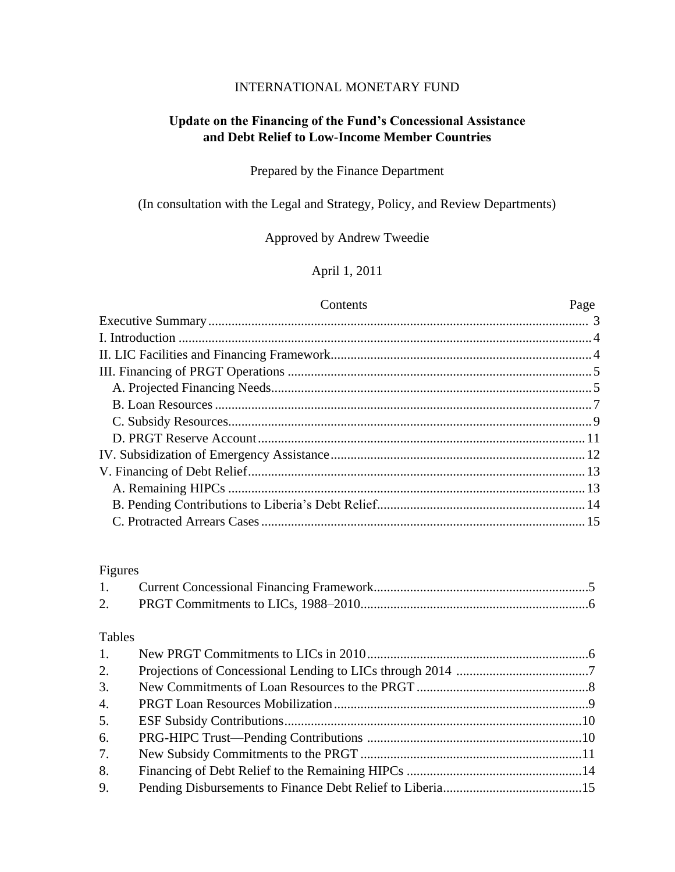### INTERNATIONAL MONETARY FUND

# **Update on the Financing of the Fund's Concessional Assistance and Debt Relief to Low-Income Member Countries**

### Prepared by the Finance Department

(In consultation with the Legal and Strategy, Policy, and Review Departments)

### Approved by Andrew Tweedie

## April 1, 2011

### Contents Page

### Figures

### Tables

| 1. |  |
|----|--|
| 2. |  |
| 3. |  |
| 4. |  |
| 5. |  |
| 6. |  |
| 7. |  |
| 8. |  |
| 9. |  |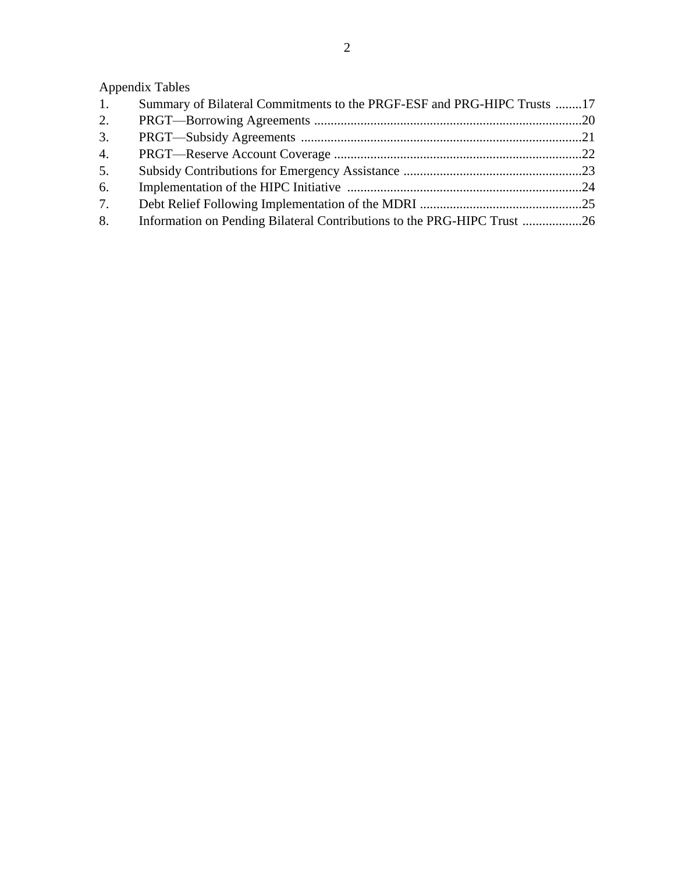# Appendix Tables

| 1. | Summary of Bilateral Commitments to the PRGF-ESF and PRG-HIPC Trusts 17 |  |
|----|-------------------------------------------------------------------------|--|
| 2. |                                                                         |  |
| 3. |                                                                         |  |
| 4. |                                                                         |  |
| 5. |                                                                         |  |
| 6. |                                                                         |  |
| 7. |                                                                         |  |
| 8. | Information on Pending Bilateral Contributions to the PRG-HIPC Trust 26 |  |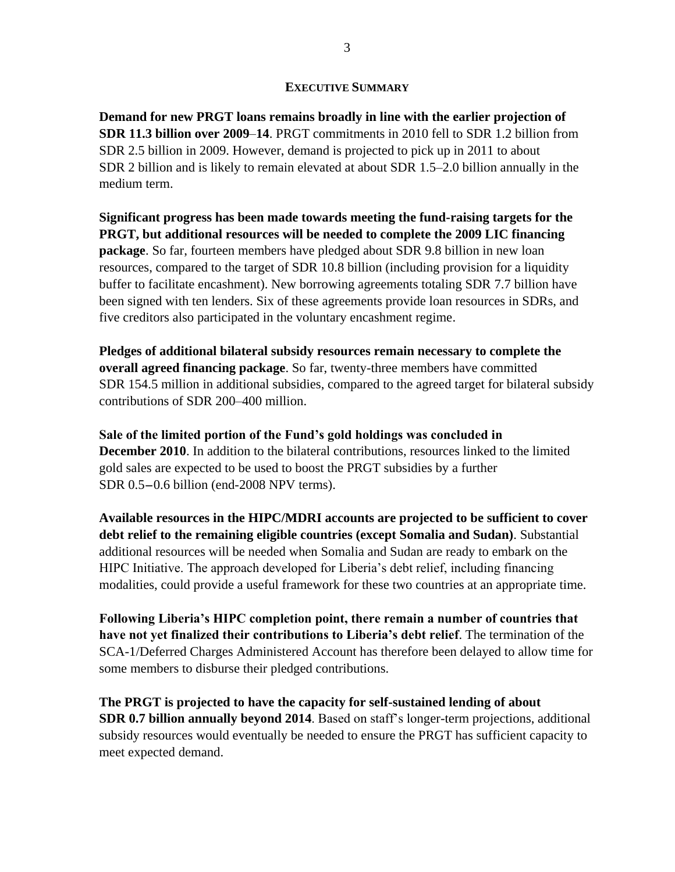### **EXECUTIVE SUMMARY**

**Demand for new PRGT loans remains broadly in line with the earlier projection of SDR 11.3 billion over 2009**–**14**. PRGT commitments in 2010 fell to SDR 1.2 billion from SDR 2.5 billion in 2009. However, demand is projected to pick up in 2011 to about SDR 2 billion and is likely to remain elevated at about SDR 1.5–2.0 billion annually in the medium term.

**Significant progress has been made towards meeting the fund-raising targets for the PRGT, but additional resources will be needed to complete the 2009 LIC financing package**. So far, fourteen members have pledged about SDR 9.8 billion in new loan resources, compared to the target of SDR 10.8 billion (including provision for a liquidity buffer to facilitate encashment). New borrowing agreements totaling SDR 7.7 billion have been signed with ten lenders. Six of these agreements provide loan resources in SDRs, and five creditors also participated in the voluntary encashment regime.

**Pledges of additional bilateral subsidy resources remain necessary to complete the overall agreed financing package**. So far, twenty-three members have committed SDR 154.5 million in additional subsidies, compared to the agreed target for bilateral subsidy contributions of SDR 200–400 million.

**Sale of the limited portion of the Fund's gold holdings was concluded in December 2010**. In addition to the bilateral contributions, resources linked to the limited gold sales are expected to be used to boost the PRGT subsidies by a further SDR 0.5-0.6 billion (end-2008 NPV terms).

**Available resources in the HIPC/MDRI accounts are projected to be sufficient to cover debt relief to the remaining eligible countries (except Somalia and Sudan)**. Substantial additional resources will be needed when Somalia and Sudan are ready to embark on the HIPC Initiative. The approach developed for Liberia's debt relief, including financing modalities, could provide a useful framework for these two countries at an appropriate time.

**Following Liberia's HIPC completion point, there remain a number of countries that have not yet finalized their contributions to Liberia's debt relief**. The termination of the SCA-1/Deferred Charges Administered Account has therefore been delayed to allow time for some members to disburse their pledged contributions.

**The PRGT is projected to have the capacity for self-sustained lending of about SDR 0.7 billion annually beyond 2014**. Based on staff's longer-term projections, additional subsidy resources would eventually be needed to ensure the PRGT has sufficient capacity to meet expected demand.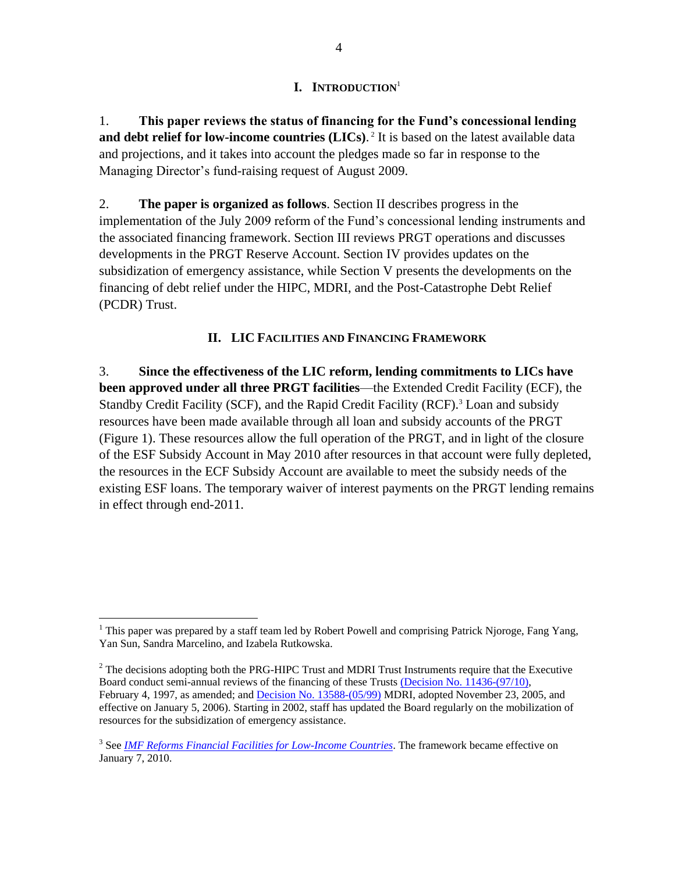### **I. INTRODUCTION**<sup>1</sup>

1. **This paper reviews the status of financing for the Fund's concessional lending**  and debt relief for low-income countries (LICs).<sup>2</sup> It is based on the latest available data and projections, and it takes into account the pledges made so far in response to the Managing Director's fund-raising request of August 2009.

2. **The paper is organized as follows**. Section II describes progress in the implementation of the July 2009 reform of the Fund's concessional lending instruments and the associated financing framework. Section III reviews PRGT operations and discusses developments in the PRGT Reserve Account. Section IV provides updates on the subsidization of emergency assistance, while Section V presents the developments on the financing of debt relief under the HIPC, MDRI, and the Post-Catastrophe Debt Relief (PCDR) Trust.

### **II. LIC FACILITIES AND FINANCING FRAMEWORK**

3. **Since the effectiveness of the LIC reform, lending commitments to LICs have been approved under all three PRGT facilities**—the Extended Credit Facility (ECF), the Standby Credit Facility (SCF), and the Rapid Credit Facility (RCF).<sup>3</sup> Loan and subsidy resources have been made available through all loan and subsidy accounts of the PRGT (Figure 1). These resources allow the full operation of the PRGT, and in light of the closure of the ESF Subsidy Account in May 2010 after resources in that account were fully depleted, the resources in the ECF Subsidy Account are available to meet the subsidy needs of the existing ESF loans. The temporary waiver of interest payments on the PRGT lending remains in effect through end-2011.

<sup>&</sup>lt;sup>1</sup> This paper was prepared by a staff team led by Robert Powell and comprising Patrick Njoroge, Fang Yang, Yan Sun, Sandra Marcelino, and Izabela Rutkowska.

 $<sup>2</sup>$  The decisions adopting both the PRG-HIPC Trust and MDRI Trust Instruments require that the Executive</sup> Board conduct semi-annual reviews of the financing of these Trusts (Decision No. [11436-\(97/10\),](http://www.imf.org/external/pubs/ft/sd/index.asp) February 4, 1997, as amended; and Decision No. [13588-\(05/99\)](http://www.imf.org/external/pubs/ft/sd/index.asp) MDRI, adopted November 23, 2005, and effective on January 5, 2006). Starting in 2002, staff has updated the Board regularly on the mobilization of resources for the subsidization of emergency assistance.

<sup>&</sup>lt;sup>3</sup> See *[IMF Reforms Financial Facilities for Low-Income Countries](http://www.imf.org/external/np/sec/pn/2009/pn0994.htm)*. The framework became effective on January 7, 2010.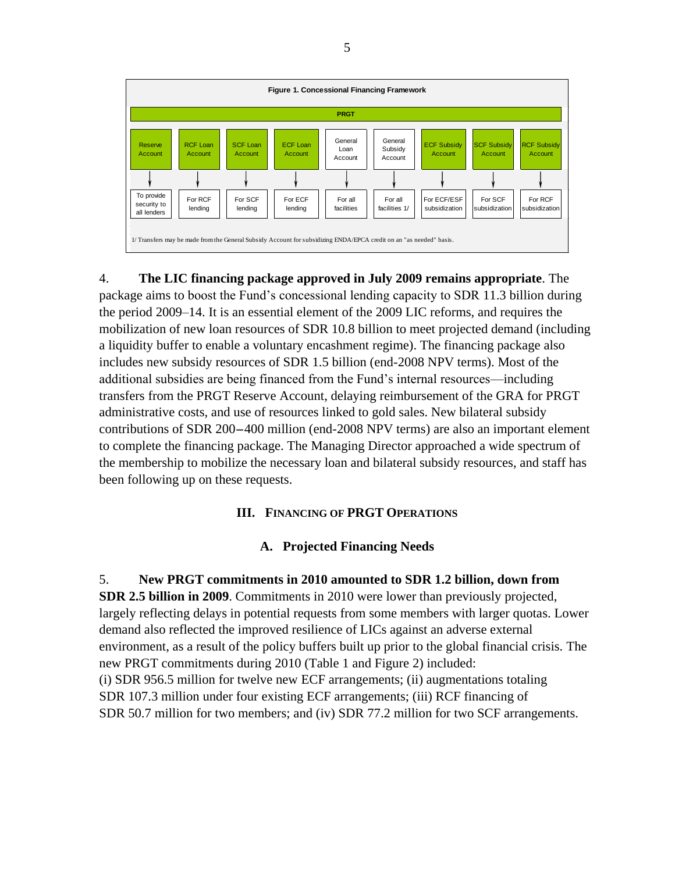

4. **The LIC financing package approved in July 2009 remains appropriate**. The package aims to boost the Fund's concessional lending capacity to SDR 11.3 billion during the period 2009–14. It is an essential element of the 2009 LIC reforms, and requires the mobilization of new loan resources of SDR 10.8 billion to meet projected demand (including a liquidity buffer to enable a voluntary encashment regime). The financing package also includes new subsidy resources of SDR 1.5 billion (end-2008 NPV terms). Most of the additional subsidies are being financed from the Fund's internal resources—including transfers from the PRGT Reserve Account, delaying reimbursement of the GRA for PRGT administrative costs, and use of resources linked to gold sales. New bilateral subsidy contributions of SDR 200-400 million (end-2008 NPV terms) are also an important element to complete the financing package. The Managing Director approached a wide spectrum of the membership to mobilize the necessary loan and bilateral subsidy resources, and staff has been following up on these requests.

### **III. FINANCING OF PRGT OPERATIONS**

### **A. Projected Financing Needs**

5. **New PRGT commitments in 2010 amounted to SDR 1.2 billion, down from SDR 2.5 billion in 2009**. Commitments in 2010 were lower than previously projected, largely reflecting delays in potential requests from some members with larger quotas. Lower demand also reflected the improved resilience of LICs against an adverse external environment, as a result of the policy buffers built up prior to the global financial crisis. The new PRGT commitments during 2010 (Table 1 and Figure 2) included: (i) SDR 956.5 million for twelve new ECF arrangements; (ii) augmentations totaling SDR 107.3 million under four existing ECF arrangements; (iii) RCF financing of SDR 50.7 million for two members; and (iv) SDR 77.2 million for two SCF arrangements.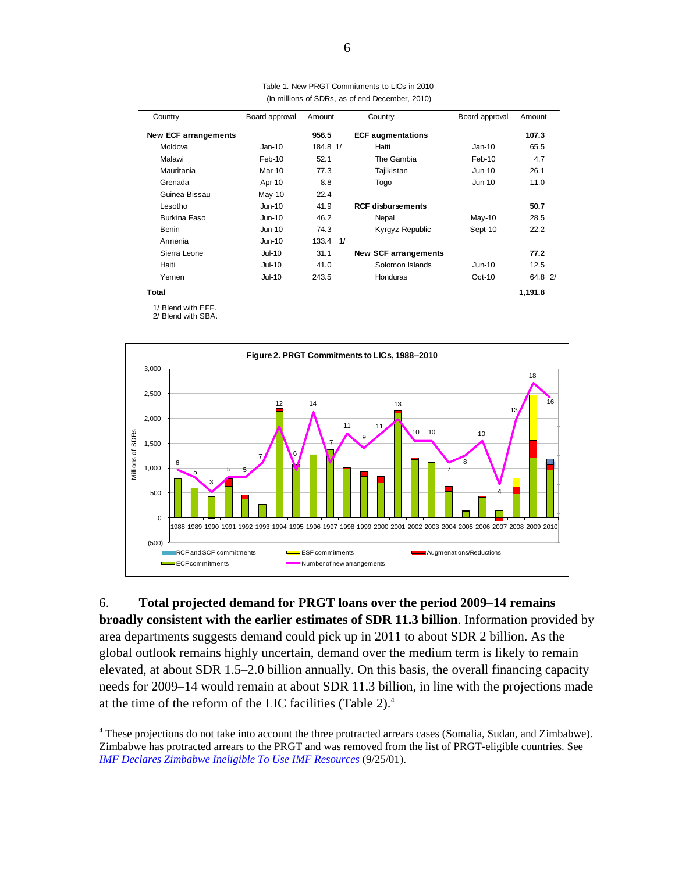| Country                     | Board approval | Amount       | Country                     | Board approval | Amount  |
|-----------------------------|----------------|--------------|-----------------------------|----------------|---------|
| <b>New ECF arrangements</b> |                | 956.5        | <b>ECF augmentations</b>    |                | 107.3   |
| Moldova                     | $Jan-10$       | 184.8 1/     | Haiti                       | $Jan-10$       | 65.5    |
| Malawi                      | Feb-10         | 52.1         | The Gambia                  | Feb-10         | 4.7     |
| Mauritania                  | Mar-10         | 77.3         | Tajikistan                  | Jun-10         | 26.1    |
| Grenada                     | Apr-10         | 8.8          | Togo                        | <b>Jun-10</b>  | 11.0    |
| Guinea-Bissau               | $May-10$       | 22.4         |                             |                |         |
| Lesotho                     | <b>Jun-10</b>  | 41.9         | <b>RCF disbursements</b>    |                | 50.7    |
| Burkina Faso                | <b>Jun-10</b>  | 46.2         | Nepal                       | May-10         | 28.5    |
| Benin                       | Jun-10         | 74.3         | Kyrgyz Republic             | Sept-10        | 22.2    |
| Armenia                     | <b>Jun-10</b>  | $133.4$ $1/$ |                             |                |         |
| Sierra Leone                | <b>Jul-10</b>  | 31.1         | <b>New SCF arrangements</b> |                | 77.2    |
| Haiti                       | Jul-10         | 41.0         | Solomon Islands             | <b>Jun-10</b>  | 12.5    |
| Yemen                       | <b>Jul-10</b>  | 243.5        | Honduras                    | $Oct-10$       | 64.8 2/ |
| Total                       |                |              |                             |                | 1,191.8 |

Table 1. New PRGT Commitments to LICs in 2010 (In millions of SDRs, as of end-December, 2010)

**Total**

 $\overline{a}$ 

1/ Blend with EFF.

2/ Blend with SBA.



6. **Total projected demand for PRGT loans over the period 2009**–**14 remains broadly consistent with the earlier estimates of SDR 11.3 billion**. Information provided by area departments suggests demand could pick up in 2011 to about SDR 2 billion. As the global outlook remains highly uncertain, demand over the medium term is likely to remain elevated, at about SDR 1.5–2.0 billion annually. On this basis, the overall financing capacity needs for 2009–14 would remain at about SDR 11.3 billion, in line with the projections made at the time of the reform of the LIC facilities (Table 2).<sup>4</sup>

<sup>&</sup>lt;sup>4</sup> These projections do not take into account the three protracted arrears cases (Somalia, Sudan, and Zimbabwe). Zimbabwe has protracted arrears to the PRGT and was removed from the list of PRGT-eligible countries. See *[IMF Declares Zimbabwe Ineligible To Use IMF Resources](http://www.imf.org/external/np/sec/pr/2001/pr0140.htm)* (9/25/01).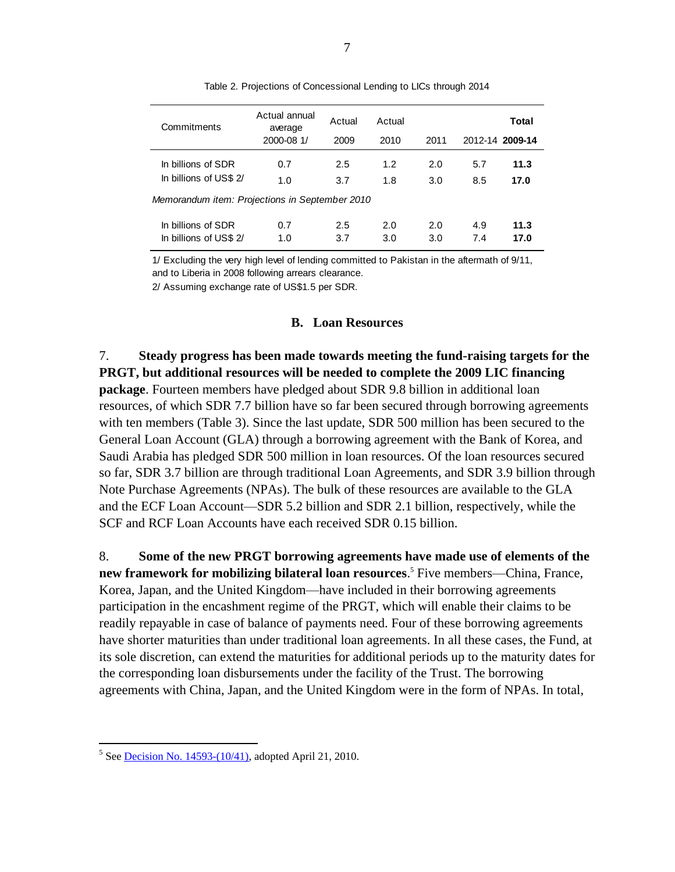| Commitments                                    | Actual annual<br>average<br>2000-08 1/ | Actual<br>2009 | Actual<br>2010 | 2011       |            | Total<br>2012-14 2009-14 |
|------------------------------------------------|----------------------------------------|----------------|----------------|------------|------------|--------------------------|
| In billions of SDR<br>In billions of US\$ 2/   | 0.7<br>1.0                             | 2.5<br>3.7     | 1.2<br>1.8     | 2.0<br>3.0 | 5.7<br>8.5 | 11.3<br>17.0             |
| Memorandum item: Projections in September 2010 |                                        |                |                |            |            |                          |
| In billions of SDR<br>In billions of US\$ 2/   | 0.7<br>1.0                             | 2.5<br>3.7     | 2.0<br>3.0     | 2.0<br>3.0 | 4.9<br>7.4 | 11.3<br>17.0             |

Table 2. Projections of Concessional Lending to LICs through 2014

1/ Excluding the very high level of lending committed to Pakistan in the aftermath of 9/11, and to Liberia in 2008 following arrears clearance.

2/ Assuming exchange rate of US\$1.5 per SDR.

#### **B. Loan Resources**

7. **Steady progress has been made towards meeting the fund-raising targets for the PRGT, but additional resources will be needed to complete the 2009 LIC financing package**. Fourteen members have pledged about SDR 9.8 billion in additional loan resources, of which SDR 7.7 billion have so far been secured through borrowing agreements with ten members (Table 3). Since the last update, SDR 500 million has been secured to the General Loan Account (GLA) through a borrowing agreement with the Bank of Korea, and Saudi Arabia has pledged SDR 500 million in loan resources. Of the loan resources secured so far, SDR 3.7 billion are through traditional Loan Agreements, and SDR 3.9 billion through Note Purchase Agreements (NPAs). The bulk of these resources are available to the GLA and the ECF Loan Account—SDR 5.2 billion and SDR 2.1 billion, respectively, while the SCF and RCF Loan Accounts have each received SDR 0.15 billion.

8. **Some of the new PRGT borrowing agreements have made use of elements of the new framework for mobilizing bilateral loan resources**. <sup>5</sup> Five members—China, France, Korea, Japan, and the United Kingdom—have included in their borrowing agreements participation in the encashment regime of the PRGT, which will enable their claims to be readily repayable in case of balance of payments need. Four of these borrowing agreements have shorter maturities than under traditional loan agreements. In all these cases, the Fund, at its sole discretion, can extend the maturities for additional periods up to the maturity dates for the corresponding loan disbursements under the facility of the Trust. The borrowing agreements with China, Japan, and the United Kingdom were in the form of NPAs. In total,

<sup>&</sup>lt;sup>5</sup> See **Decision No. 14593-(10/41)**, adopted April 21, 2010.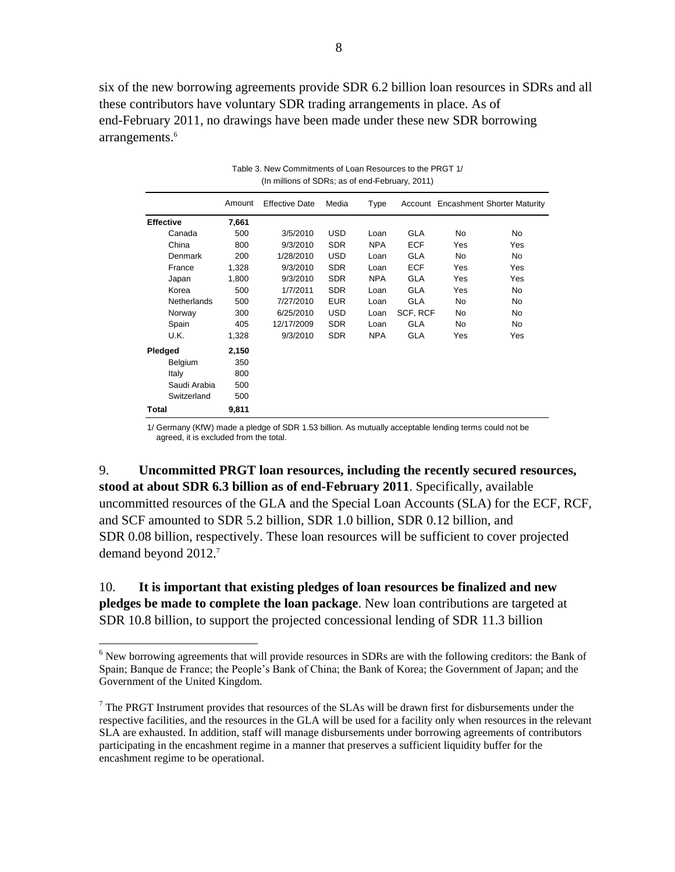six of the new borrowing agreements provide SDR 6.2 billion loan resources in SDRs and all these contributors have voluntary SDR trading arrangements in place. As of end-February 2011, no drawings have been made under these new SDR borrowing arrangements.<sup>6</sup>

|                    | Amount | <b>Effective Date</b> | Media      | Type       |            |     | Account Encashment Shorter Maturity |
|--------------------|--------|-----------------------|------------|------------|------------|-----|-------------------------------------|
| <b>Effective</b>   | 7,661  |                       |            |            |            |     |                                     |
| Canada             | 500    | 3/5/2010              | <b>USD</b> | Loan       | <b>GLA</b> | No. | No.                                 |
| China              | 800    | 9/3/2010              | <b>SDR</b> | <b>NPA</b> | <b>ECF</b> | Yes | Yes                                 |
| Denmark            | 200    | 1/28/2010             | <b>USD</b> | Loan       | <b>GLA</b> | No  | No.                                 |
| France             | 1,328  | 9/3/2010              | <b>SDR</b> | Loan       | <b>ECF</b> | Yes | Yes                                 |
| Japan              | 1,800  | 9/3/2010              | <b>SDR</b> | <b>NPA</b> | <b>GLA</b> | Yes | Yes                                 |
| Korea              | 500    | 1/7/2011              | <b>SDR</b> | Loan       | <b>GLA</b> | Yes | No.                                 |
| <b>Netherlands</b> | 500    | 7/27/2010             | <b>EUR</b> | Loan       | <b>GLA</b> | No  | No                                  |
| Norway             | 300    | 6/25/2010             | <b>USD</b> | Loan       | SCF, RCF   | No  | No                                  |
| Spain              | 405    | 12/17/2009            | <b>SDR</b> | Loan       | GLA        | No  | No                                  |
| U.K.               | 1,328  | 9/3/2010              | <b>SDR</b> | <b>NPA</b> | <b>GLA</b> | Yes | Yes                                 |
| Pledged            | 2,150  |                       |            |            |            |     |                                     |
| Belgium            | 350    |                       |            |            |            |     |                                     |
| Italy              | 800    |                       |            |            |            |     |                                     |
| Saudi Arabia       | 500    |                       |            |            |            |     |                                     |
| Switzerland        | 500    |                       |            |            |            |     |                                     |
| Total              | 9,811  |                       |            |            |            |     |                                     |

Table 3. New Commitments of Loan Resources to the PRGT 1/ (In millions of SDRs; as of end-February, 2011)

1/ Germany (KfW) made a pledge of SDR 1.53 billion. As mutually acceptable lending terms could not be agreed, it is excluded from the total.

9. **Uncommitted PRGT loan resources, including the recently secured resources, stood at about SDR 6.3 billion as of end-February 2011**. Specifically, available uncommitted resources of the GLA and the Special Loan Accounts (SLA) for the ECF, RCF, and SCF amounted to SDR 5.2 billion, SDR 1.0 billion, SDR 0.12 billion, and SDR 0.08 billion, respectively. These loan resources will be sufficient to cover projected demand beyond 2012.<sup>7</sup>

### 10. **It is important that existing pledges of loan resources be finalized and new pledges be made to complete the loan package**. New loan contributions are targeted at SDR 10.8 billion, to support the projected concessional lending of SDR 11.3 billion

 $\overline{a}$  $6$  New borrowing agreements that will provide resources in SDRs are with the following creditors: the Bank of Spain; Banque de France; the People's Bank of China; the Bank of Korea; the Government of Japan; and the Government of the United Kingdom.

 $<sup>7</sup>$  The PRGT Instrument provides that resources of the SLAs will be drawn first for disbursements under the</sup> respective facilities, and the resources in the GLA will be used for a facility only when resources in the relevant SLA are exhausted. In addition, staff will manage disbursements under borrowing agreements of contributors participating in the encashment regime in a manner that preserves a sufficient liquidity buffer for the encashment regime to be operational.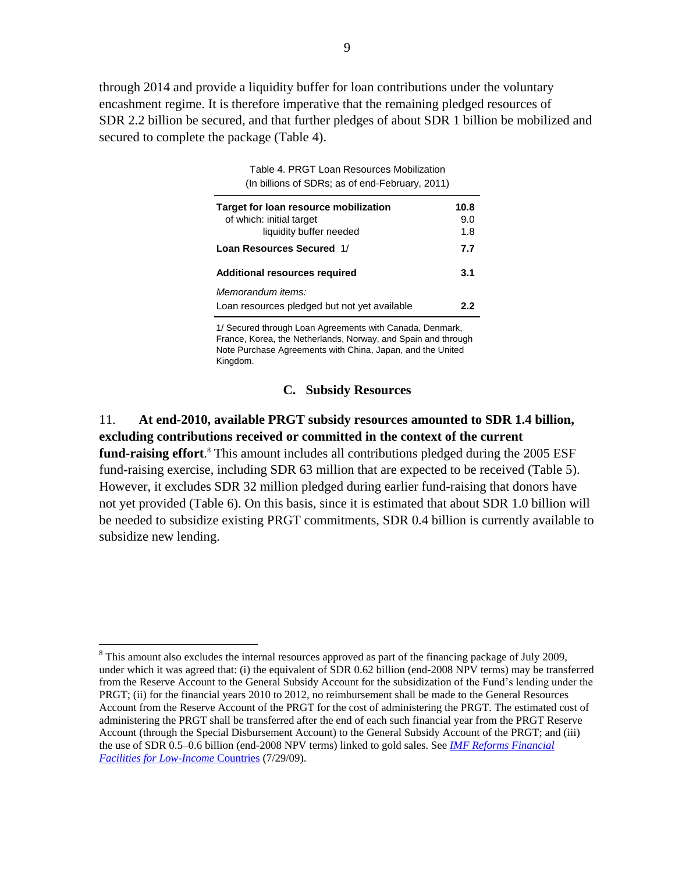through 2014 and provide a liquidity buffer for loan contributions under the voluntary encashment regime. It is therefore imperative that the remaining pledged resources of SDR 2.2 billion be secured, and that further pledges of about SDR 1 billion be mobilized and secured to complete the package (Table 4).

| (In billions of SDRs; as of end-February, 2011) |      |
|-------------------------------------------------|------|
| Target for loan resource mobilization           | 10.8 |
| of which: initial target                        | 9.0  |
| liquidity buffer needed                         | 1.8  |
| Loan Resources Secured 1/                       | 7.7  |

**Additional resources required 3.1**

Loan resources pledged but not yet available **2.2**

*Memorandum items:*

 $\overline{a}$ 

Table 4. PRGT Loan Resources Mobilization

1/ Secured through Loan Agreements with Canada, Denmark, France, Korea, the Netherlands, Norway, and Spain and through Note Purchase Agreements with China, Japan, and the United Kingdom.

### **C. Subsidy Resources**

### 11. **At end-2010, available PRGT subsidy resources amounted to SDR 1.4 billion, excluding contributions received or committed in the context of the current**  fund-raising effort.<sup>8</sup> This amount includes all contributions pledged during the 2005 ESF

fund-raising exercise, including SDR 63 million that are expected to be received (Table 5). However, it excludes SDR 32 million pledged during earlier fund-raising that donors have not yet provided (Table 6). On this basis, since it is estimated that about SDR 1.0 billion will be needed to subsidize existing PRGT commitments, SDR 0.4 billion is currently available to subsidize new lending.

<sup>&</sup>lt;sup>8</sup> This amount also excludes the internal resources approved as part of the financing package of July 2009, under which it was agreed that: (i) the equivalent of SDR 0.62 billion (end-2008 NPV terms) may be transferred from the Reserve Account to the General Subsidy Account for the subsidization of the Fund's lending under the PRGT; (ii) for the financial years 2010 to 2012, no reimbursement shall be made to the General Resources Account from the Reserve Account of the PRGT for the cost of administering the PRGT. The estimated cost of administering the PRGT shall be transferred after the end of each such financial year from the PRGT Reserve Account (through the Special Disbursement Account) to the General Subsidy Account of the PRGT; and (iii) the use of SDR 0.5–0.6 billion (end-2008 NPV terms) linked to gold sales. See *[IMF Reforms Financial](http://www.imf.org/external/np/sec/pn/2009/pn0994.htm)  [Facilities for Low-Income](http://www.imf.org/external/np/sec/pn/2009/pn0994.htm)* Countries (7/29/09).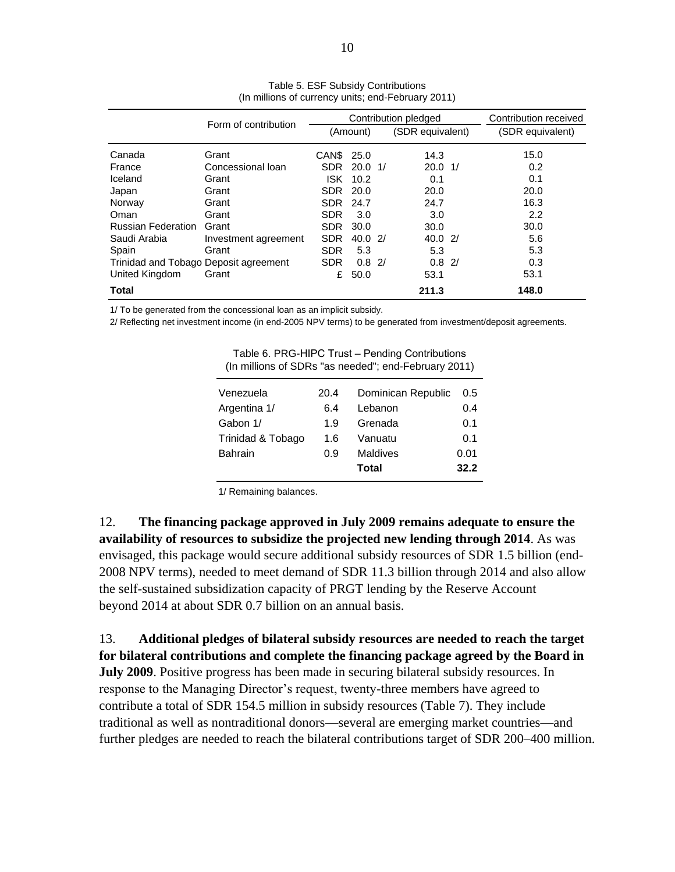|                                       | Form of contribution | Contribution pledged         |             |    |                    | Contribution received |
|---------------------------------------|----------------------|------------------------------|-------------|----|--------------------|-----------------------|
|                                       |                      | (SDR equivalent)<br>(Amount) |             |    | (SDR equivalent)   |                       |
| Canada                                | Grant                | CAN\$ 25.0                   |             |    | 14.3               | 15.0                  |
| France                                | Concessional loan    | <b>SDR</b>                   | 20.0        | 1/ | $20.0 \frac{1}{2}$ | 0.2                   |
| Iceland                               | Grant                | <b>ISK</b>                   | 10.2        |    | 0.1                | 0.1                   |
| Japan                                 | Grant                | <b>SDR</b>                   | 20.0        |    | 20.0               | 20.0                  |
| Norway                                | Grant                | <b>SDR</b>                   | 24.7        |    | 24.7               | 16.3                  |
| Oman                                  | Grant                | <b>SDR</b>                   | 3.0         |    | 3.0                | 2.2                   |
| <b>Russian Federation</b>             | Grant                | <b>SDR</b>                   | 30.0        |    | 30.0               | 30.0                  |
| Saudi Arabia                          | Investment agreement | <b>SDR</b>                   | 40.02       |    | 40.02              | 5.6                   |
| Spain                                 | Grant                | <b>SDR</b>                   | 5.3         |    | 5.3                | 5.3                   |
| Trinidad and Tobago Deposit agreement |                      | <b>SDR</b>                   | $0.8 \, 2/$ |    | $0.8 \, 2/$        | 0.3                   |
| United Kingdom                        | Grant                | £                            | 50.0        |    | 53.1               | 53.1                  |
| <b>Total</b>                          |                      |                              |             |    | 211.3              | 148.0                 |

Table 5. ESF Subsidy Contributions (In millions of currency units; end-February 2011)

1/ To be generated from the concessional loan as an implicit subsidy.

2/ Reflecting net investment income (in end-2005 NPV terms) to be generated from investment/deposit agreements.

| Venezuela         | 20.4 | Dominican Republic | 0.5  |
|-------------------|------|--------------------|------|
| Argentina 1/      | 6.4  | Lebanon            | 0.4  |
| Gabon 1/          | 1.9  | Grenada            | 0.1  |
| Trinidad & Tobago | 1.6  | Vanuatu            | 0.1  |
| <b>Bahrain</b>    | 0.9  | <b>Maldives</b>    | 0.01 |
|                   |      | <b>Total</b>       | 32.2 |
|                   |      |                    |      |

Table 6. PRG-HIPC Trust – Pending Contributions (In millions of SDRs "as needed"; end-February 2011)

1/ Remaining balances.

12. **The financing package approved in July 2009 remains adequate to ensure the availability of resources to subsidize the projected new lending through 2014**. As was envisaged, this package would secure additional subsidy resources of SDR 1.5 billion (end-2008 NPV terms), needed to meet demand of SDR 11.3 billion through 2014 and also allow the self-sustained subsidization capacity of PRGT lending by the Reserve Account beyond 2014 at about SDR 0.7 billion on an annual basis.

13. **Additional pledges of bilateral subsidy resources are needed to reach the target for bilateral contributions and complete the financing package agreed by the Board in July 2009**. Positive progress has been made in securing bilateral subsidy resources. In response to the Managing Director's request, twenty-three members have agreed to contribute a total of SDR 154.5 million in subsidy resources (Table 7). They include traditional as well as nontraditional donors—several are emerging market countries—and further pledges are needed to reach the bilateral contributions target of SDR 200–400 million.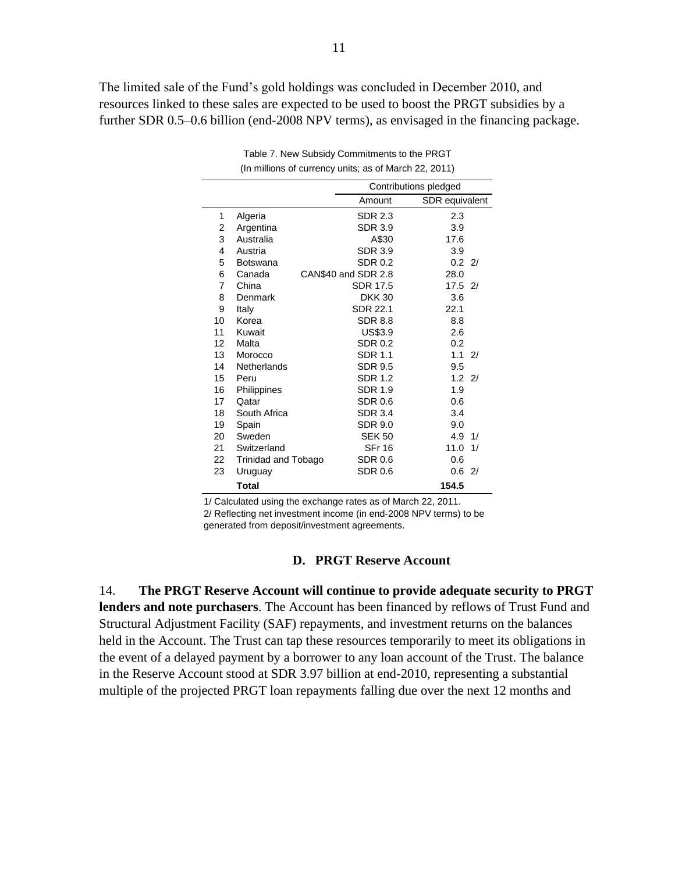The limited sale of the Fund's gold holdings was concluded in December 2010, and resources linked to these sales are expected to be used to boost the PRGT subsidies by a further SDR 0.5–0.6 billion (end-2008 NPV terms), as envisaged in the financing package.

|                   |                            |                     | Contributions pledged |    |  |  |  |
|-------------------|----------------------------|---------------------|-----------------------|----|--|--|--|
|                   |                            | Amount              | SDR equivalent        |    |  |  |  |
| 1                 | Algeria                    | SDR 2.3             | 2.3                   |    |  |  |  |
| 2                 | Argentina                  | <b>SDR 3.9</b>      | 3.9                   |    |  |  |  |
| 3                 | Australia                  | A\$30               | 17.6                  |    |  |  |  |
| 4                 | Austria                    | <b>SDR 3.9</b>      | 3.9                   |    |  |  |  |
| 5                 | <b>Botswana</b>            | <b>SDR 0.2</b>      | $0.2 \quad 2/$        |    |  |  |  |
| 6                 | Canada                     | CAN\$40 and SDR 2.8 | 28.0                  |    |  |  |  |
| 7                 | China                      | SDR 17.5            | $17.5$ 2/             |    |  |  |  |
| 8                 | Denmark                    | <b>DKK 30</b>       | 3.6                   |    |  |  |  |
| 9                 | Italy                      | <b>SDR 22.1</b>     | 22.1                  |    |  |  |  |
| 10                | Korea                      | <b>SDR 8.8</b>      | 8.8                   |    |  |  |  |
| 11                | Kuwait                     | US\$3.9             | 2.6                   |    |  |  |  |
| $12 \overline{ }$ | Malta                      | <b>SDR 0.2</b>      | 0.2                   |    |  |  |  |
| 13                | Morocco                    | <b>SDR 1.1</b>      | 1.1                   | 2/ |  |  |  |
| 14                | Netherlands                | <b>SDR 9.5</b>      | 9.5                   |    |  |  |  |
| 15                | Peru                       | SDR 1.2             | 1.221                 |    |  |  |  |
| 16                | Philippines                | <b>SDR 1.9</b>      | 1.9                   |    |  |  |  |
| 17                | Qatar                      | SDR 0.6             | 0.6                   |    |  |  |  |
| 18                | South Africa               | <b>SDR 3.4</b>      | 3.4                   |    |  |  |  |
| 19                | Spain                      | SDR 9.0             | 9.0                   |    |  |  |  |
| 20                | Sweden                     | <b>SEK 50</b>       | 4.9                   | 1/ |  |  |  |
| 21                | Switzerland                | <b>SFr 16</b>       | 11.0                  | 1/ |  |  |  |
| 22                | <b>Trinidad and Tobago</b> | <b>SDR 0.6</b>      | 0.6                   |    |  |  |  |
| 23                | Uruguay                    | SDR 0.6             | 0.6                   | 2/ |  |  |  |
|                   | <b>Total</b>               |                     | 154.5                 |    |  |  |  |

Table 7. New Subsidy Commitments to the PRGT (In millions of currency units; as of March 22, 2011)

1/ Calculated using the exchange rates as of March 22, 2011.

2/ Reflecting net investment income (in end-2008 NPV terms) to be generated from deposit/investment agreements.

#### **D. PRGT Reserve Account**

14. **The PRGT Reserve Account will continue to provide adequate security to PRGT lenders and note purchasers**. The Account has been financed by reflows of Trust Fund and Structural Adjustment Facility (SAF) repayments, and investment returns on the balances held in the Account. The Trust can tap these resources temporarily to meet its obligations in the event of a delayed payment by a borrower to any loan account of the Trust. The balance in the Reserve Account stood at SDR 3.97 billion at end-2010, representing a substantial multiple of the projected PRGT loan repayments falling due over the next 12 months and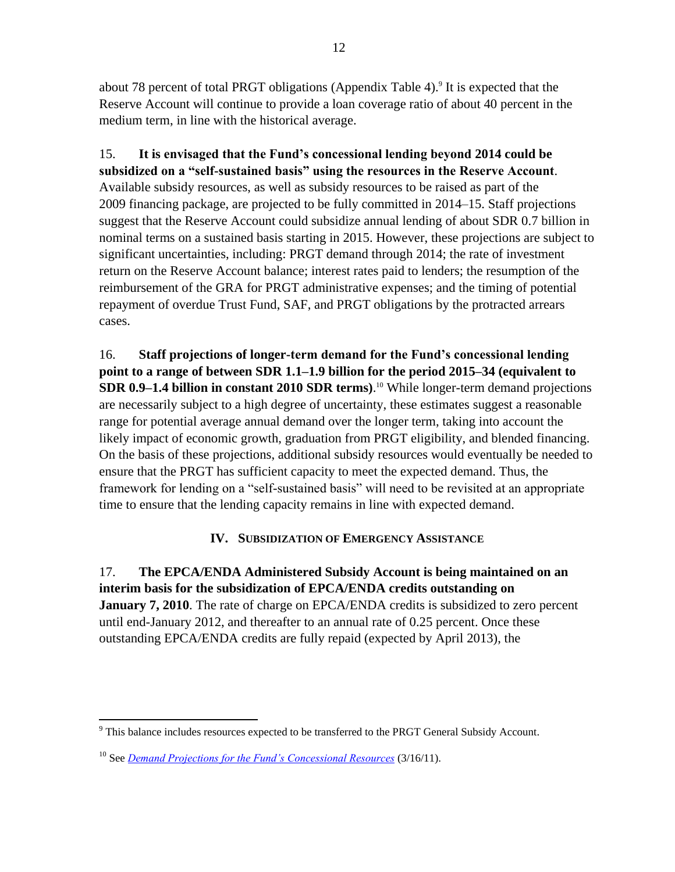about 78 percent of total PRGT obligations (Appendix Table 4).<sup>9</sup> It is expected that the Reserve Account will continue to provide a loan coverage ratio of about 40 percent in the medium term, in line with the historical average.

15. **It is envisaged that the Fund's concessional lending beyond 2014 could be subsidized on a "self-sustained basis" using the resources in the Reserve Account**. Available subsidy resources, as well as subsidy resources to be raised as part of the 2009 financing package, are projected to be fully committed in 2014–15. Staff projections suggest that the Reserve Account could subsidize annual lending of about SDR 0.7 billion in nominal terms on a sustained basis starting in 2015. However, these projections are subject to significant uncertainties, including: PRGT demand through 2014; the rate of investment return on the Reserve Account balance; interest rates paid to lenders; the resumption of the reimbursement of the GRA for PRGT administrative expenses; and the timing of potential repayment of overdue Trust Fund, SAF, and PRGT obligations by the protracted arrears cases.

16. **Staff projections of longer-term demand for the Fund's concessional lending point to a range of between SDR 1.1–1.9 billion for the period 2015–34 (equivalent to SDR 0.9–1.4 billion in constant 2010 SDR terms)**. <sup>10</sup> While longer-term demand projections are necessarily subject to a high degree of uncertainty, these estimates suggest a reasonable range for potential average annual demand over the longer term, taking into account the likely impact of economic growth, graduation from PRGT eligibility, and blended financing. On the basis of these projections, additional subsidy resources would eventually be needed to ensure that the PRGT has sufficient capacity to meet the expected demand. Thus, the framework for lending on a "self-sustained basis" will need to be revisited at an appropriate time to ensure that the lending capacity remains in line with expected demand.

### **IV. SUBSIDIZATION OF EMERGENCY ASSISTANCE**

17. **The EPCA/ENDA Administered Subsidy Account is being maintained on an interim basis for the subsidization of EPCA/ENDA credits outstanding on January 7, 2010**. The rate of charge on EPCA/ENDA credits is subsidized to zero percent until end-January 2012, and thereafter to an annual rate of 0.25 percent. Once these outstanding EPCA/ENDA credits are fully repaid (expected by April 2013), the

 $\overline{a}$  $9$  This balance includes resources expected to be transferred to the PRGT General Subsidy Account.

<sup>10</sup> See *[Demand Projections for the Fund's Concessional Resources](http://www.imf.org/external/np/pp/eng/2011/031611a.pdf)* (3/16/11).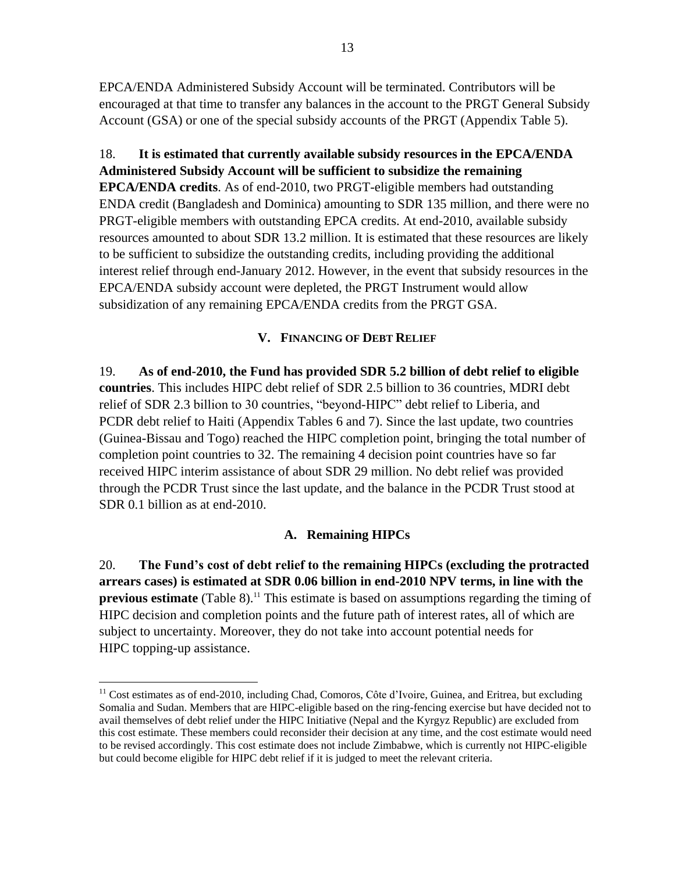EPCA/ENDA Administered Subsidy Account will be terminated. Contributors will be encouraged at that time to transfer any balances in the account to the PRGT General Subsidy Account (GSA) or one of the special subsidy accounts of the PRGT (Appendix Table 5).

18. **It is estimated that currently available subsidy resources in the EPCA/ENDA Administered Subsidy Account will be sufficient to subsidize the remaining EPCA/ENDA credits**. As of end-2010, two PRGT-eligible members had outstanding ENDA credit (Bangladesh and Dominica) amounting to SDR 135 million, and there were no PRGT-eligible members with outstanding EPCA credits. At end-2010, available subsidy resources amounted to about SDR 13.2 million. It is estimated that these resources are likely to be sufficient to subsidize the outstanding credits, including providing the additional interest relief through end-January 2012. However, in the event that subsidy resources in the EPCA/ENDA subsidy account were depleted, the PRGT Instrument would allow subsidization of any remaining EPCA/ENDA credits from the PRGT GSA.

### **V. FINANCING OF DEBT RELIEF**

19. **As of end-2010, the Fund has provided SDR 5.2 billion of debt relief to eligible countries**. This includes HIPC debt relief of SDR 2.5 billion to 36 countries, MDRI debt relief of SDR 2.3 billion to 30 countries, "beyond-HIPC" debt relief to Liberia, and PCDR debt relief to Haiti (Appendix Tables 6 and 7). Since the last update, two countries (Guinea-Bissau and Togo) reached the HIPC completion point, bringing the total number of completion point countries to 32. The remaining 4 decision point countries have so far received HIPC interim assistance of about SDR 29 million. No debt relief was provided through the PCDR Trust since the last update, and the balance in the PCDR Trust stood at SDR 0.1 billion as at end-2010.

### **A. Remaining HIPCs**

20. **The Fund's cost of debt relief to the remaining HIPCs (excluding the protracted arrears cases) is estimated at SDR 0.06 billion in end-2010 NPV terms, in line with the previous estimate** (Table 8).<sup>11</sup> This estimate is based on assumptions regarding the timing of HIPC decision and completion points and the future path of interest rates, all of which are subject to uncertainty. Moreover, they do not take into account potential needs for HIPC topping-up assistance.

<sup>&</sup>lt;sup>11</sup> Cost estimates as of end-2010, including Chad, Comoros, Côte d'Ivoire, Guinea, and Eritrea, but excluding Somalia and Sudan. Members that are HIPC-eligible based on the ring-fencing exercise but have decided not to avail themselves of debt relief under the HIPC Initiative (Nepal and the Kyrgyz Republic) are excluded from this cost estimate. These members could reconsider their decision at any time, and the cost estimate would need to be revised accordingly. This cost estimate does not include Zimbabwe, which is currently not HIPC-eligible but could become eligible for HIPC debt relief if it is judged to meet the relevant criteria.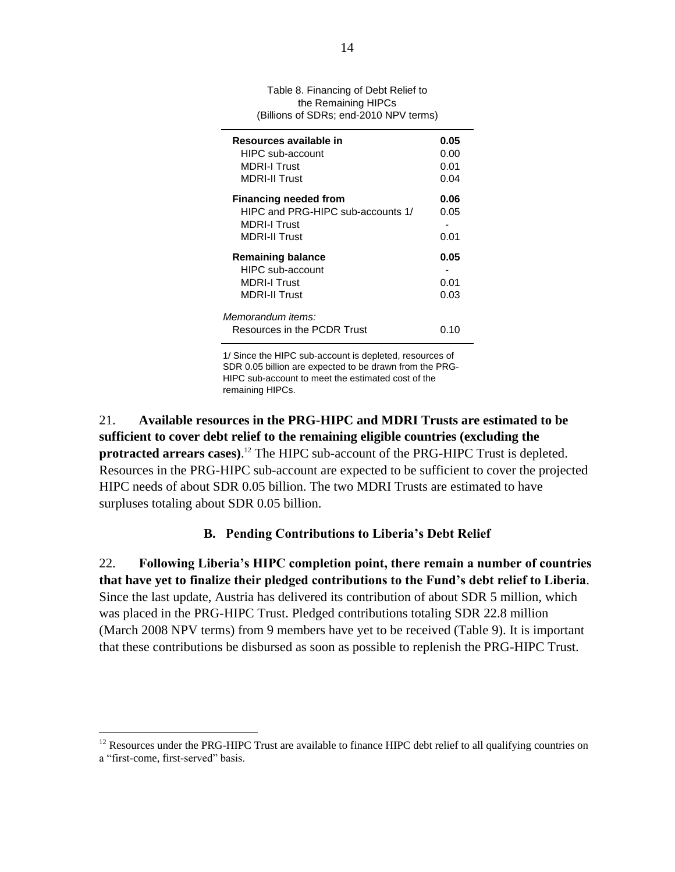| Table 8. Financing of Debt Relief to   |
|----------------------------------------|
| the Remaining HIPCs                    |
| (Billions of SDRs; end-2010 NPV terms) |

| Resources available in<br>HIPC sub-account<br><b>MDRI-I Trust</b><br><b>MDRI-II Trust</b>                        | 0.05<br>0.00<br>0.01<br>0.04 |
|------------------------------------------------------------------------------------------------------------------|------------------------------|
| <b>Financing needed from</b><br>HIPC and PRG-HIPC sub-accounts 1/<br><b>MDRI-I Trust</b><br><b>MDRI-II Trust</b> | 0.06<br>0.05<br>0.01         |
| <b>Remaining balance</b><br><b>HIPC</b> sub-account<br><b>MDRI-I Trust</b><br><b>MDRI-II Trust</b>               | 0.05<br>0.01<br>0.03         |
| Memorandum items:<br>Resources in the PCDR Trust                                                                 | በ 1በ                         |

1/ Since the HIPC sub-account is depleted, resources of SDR 0.05 billion are expected to be drawn from the PRG-HIPC sub-account to meet the estimated cost of the remaining HIPCs.

21. **Available resources in the PRG-HIPC and MDRI Trusts are estimated to be sufficient to cover debt relief to the remaining eligible countries (excluding the protracted arrears cases)**. <sup>12</sup> The HIPC sub-account of the PRG-HIPC Trust is depleted. Resources in the PRG-HIPC sub-account are expected to be sufficient to cover the projected HIPC needs of about SDR 0.05 billion. The two MDRI Trusts are estimated to have surpluses totaling about SDR 0.05 billion.

### **B. Pending Contributions to Liberia's Debt Relief**

22. **Following Liberia's HIPC completion point, there remain a number of countries that have yet to finalize their pledged contributions to the Fund's debt relief to Liberia**. Since the last update, Austria has delivered its contribution of about SDR 5 million, which was placed in the PRG-HIPC Trust. Pledged contributions totaling SDR 22.8 million (March 2008 NPV terms) from 9 members have yet to be received (Table 9). It is important that these contributions be disbursed as soon as possible to replenish the PRG-HIPC Trust.

<sup>&</sup>lt;sup>12</sup> Resources under the PRG-HIPC Trust are available to finance HIPC debt relief to all qualifying countries on a "first-come, first-served" basis.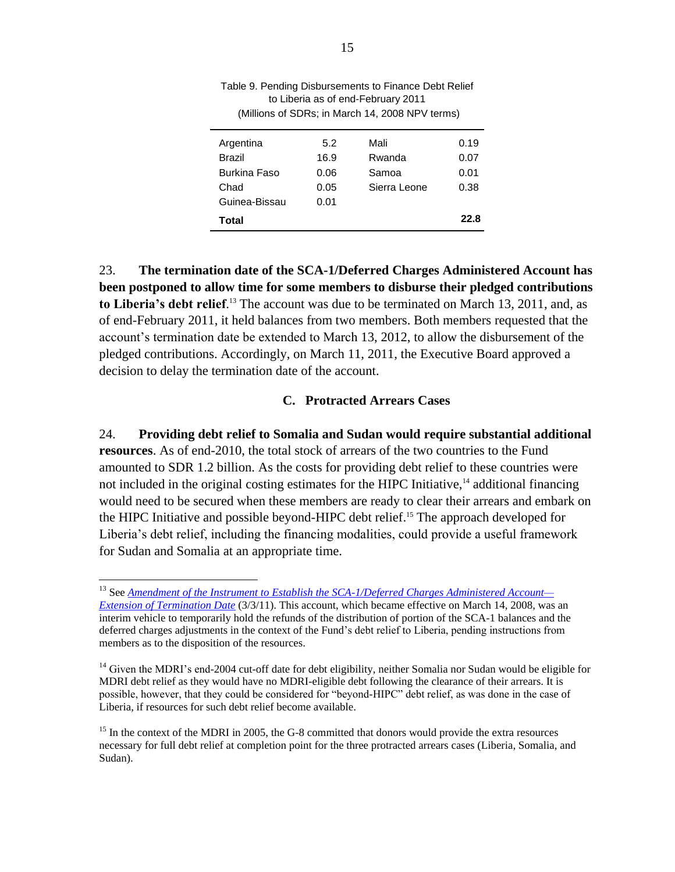| Argentina     | 5.2  | Mali         | 0.19 |
|---------------|------|--------------|------|
| Brazil        | 16.9 | Rwanda       | 0.07 |
| Burkina Faso  | 0.06 | Samoa        | 0.01 |
| Chad          | 0.05 | Sierra Leone | 0.38 |
| Guinea-Bissau | 0.01 |              |      |
| Total         |      |              | 22.8 |

Table 9. Pending Disbursements to Finance Debt Relief to Liberia as of end-February 2011 (Millions of SDRs; in March 14, 2008 NPV terms)

23. **The termination date of the SCA-1/Deferred Charges Administered Account has been postponed to allow time for some members to disburse their pledged contributions**  to Liberia's debt relief.<sup>13</sup> The account was due to be terminated on March 13, 2011, and, as of end-February 2011, it held balances from two members. Both members requested that the account's termination date be extended to March 13, 2012, to allow the disbursement of the pledged contributions. Accordingly, on March 11, 2011, the Executive Board approved a decision to delay the termination date of the account.

#### **C. Protracted Arrears Cases**

24. **Providing debt relief to Somalia and Sudan would require substantial additional resources**. As of end-2010, the total stock of arrears of the two countries to the Fund amounted to SDR 1.2 billion. As the costs for providing debt relief to these countries were not included in the original costing estimates for the HIPC Initiative,<sup>14</sup> additional financing would need to be secured when these members are ready to clear their arrears and embark on the HIPC Initiative and possible beyond-HIPC debt relief.<sup>15</sup> The approach developed for Liberia's debt relief, including the financing modalities, could provide a useful framework for Sudan and Somalia at an appropriate time.

<sup>13</sup> See *Amendment [of the Instrument to Establish the SCA-1/Deferred Charges Administered Account—](http://www.imf.org/external/np/pp/eng/2011/030311.pdf) [Extension of Termination Date](http://www.imf.org/external/np/pp/eng/2011/030311.pdf)* (3/3/11). This account, which became effective on March 14, 2008, was an interim vehicle to temporarily hold the refunds of the distribution of portion of the SCA-1 balances and the deferred charges adjustments in the context of the Fund's debt relief to Liberia, pending instructions from members as to the disposition of the resources.

<sup>&</sup>lt;sup>14</sup> Given the MDRI's end-2004 cut-off date for debt eligibility, neither Somalia nor Sudan would be eligible for MDRI debt relief as they would have no MDRI-eligible debt following the clearance of their arrears. It is possible, however, that they could be considered for "beyond-HIPC" debt relief, as was done in the case of Liberia, if resources for such debt relief become available.

<sup>&</sup>lt;sup>15</sup> In the context of the MDRI in 2005, the G-8 committed that donors would provide the extra resources necessary for full debt relief at completion point for the three protracted arrears cases (Liberia, Somalia, and Sudan).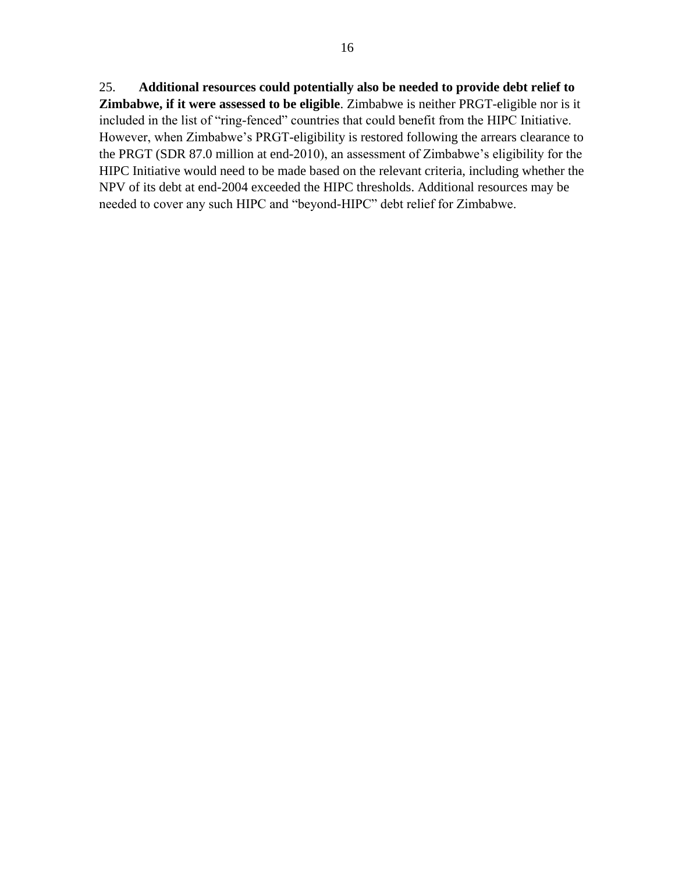25. **Additional resources could potentially also be needed to provide debt relief to Zimbabwe, if it were assessed to be eligible**. Zimbabwe is neither PRGT-eligible nor is it included in the list of "ring-fenced" countries that could benefit from the HIPC Initiative. However, when Zimbabwe's PRGT-eligibility is restored following the arrears clearance to the PRGT (SDR 87.0 million at end-2010), an assessment of Zimbabwe's eligibility for the HIPC Initiative would need to be made based on the relevant criteria, including whether the NPV of its debt at end-2004 exceeded the HIPC thresholds. Additional resources may be needed to cover any such HIPC and "beyond-HIPC" debt relief for Zimbabwe.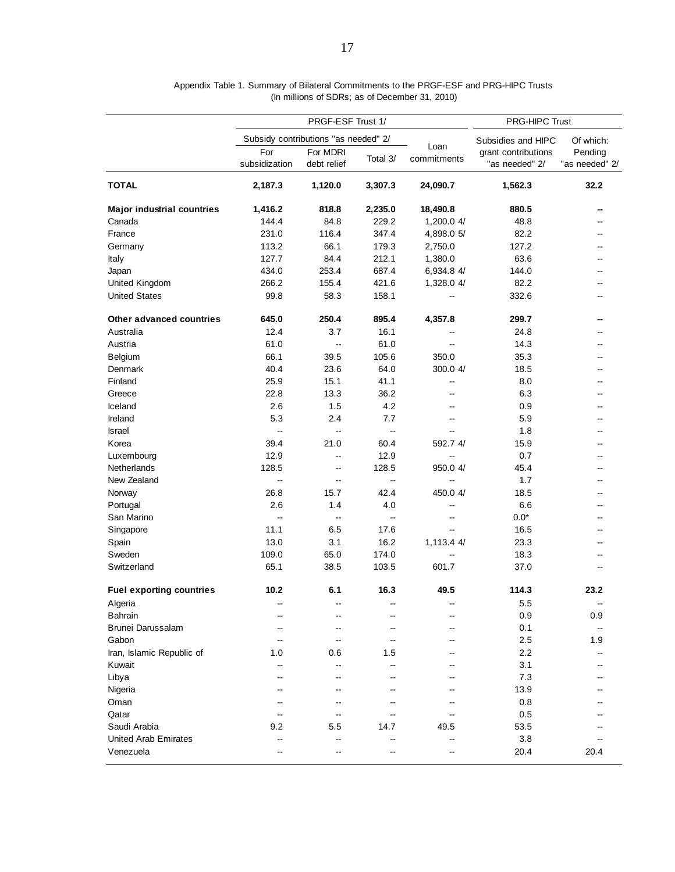| Subsidy contributions "as needed" 2/<br>Of which:<br>Subsidies and HIPC<br>Loan<br>For<br>For MDRI<br>grant contributions<br>Pending<br>commitments<br>Total 3/<br>subsidization<br>debt relief<br>"as needed" 2/<br>"as needed" 2/<br><b>TOTAL</b><br>32.2<br>2,187.3<br>1,120.0<br>3,307.3<br>24,090.7<br>1,562.3<br><b>Major industrial countries</b><br>1,416.2<br>818.8<br>2,235.0<br>18,490.8<br>880.5<br>144.4<br>229.2<br>48.8<br>Canada<br>84.8<br>1,200.0 4/<br>231.0<br>116.4<br>347.4<br>82.2<br>France<br>4,898.0 5/<br>113.2<br>66.1<br>179.3<br>127.2<br>Germany<br>2,750.0<br>127.7<br>84.4<br>212.1<br>63.6<br>1,380.0<br>Italy<br>434.0<br>253.4<br>144.0<br>687.4<br>6,934.8 4/<br>Japan<br>266.2<br>155.4<br>421.6<br>1,328.0 4/<br>82.2<br>United Kingdom<br><b>United States</b><br>99.8<br>58.3<br>332.6<br>158.1<br>645.0<br>250.4<br>Other advanced countries<br>895.4<br>4,357.8<br>299.7<br>Australia<br>12.4<br>3.7<br>16.1<br>24.8<br>61.0<br>61.0<br>14.3<br>Austria<br>66.1<br>105.6<br>350.0<br>35.3<br>Belgium<br>39.5<br>40.4<br>23.6<br>64.0<br>300.0 4/<br>18.5<br>Denmark<br>Finland<br>25.9<br>15.1<br>41.1<br>8.0<br>--<br>22.8<br>13.3<br>36.2<br>6.3<br>Greece<br>Iceland<br>2.6<br>4.2<br>1.5<br>0.9<br>--<br>--<br>5.3<br>2.4<br>7.7<br>5.9<br>Ireland<br>1.8<br>Israel<br>ш,<br>Щ,<br>ц.<br>39.4<br>592.7 4/<br>Korea<br>21.0<br>60.4<br>15.9<br>12.9<br>12.9<br>0.7<br>Luxembourg<br>$\overline{a}$<br>--<br>128.5<br>128.5<br>45.4<br>Netherlands<br>950.0 4/<br>--<br>New Zealand<br>1.7<br>ш,<br>$\overline{\phantom{a}}$<br>щ,<br>--<br>42.4<br>18.5<br>Norway<br>26.8<br>15.7<br>450.0 4/<br>2.6<br>6.6<br>Portugal<br>1.4<br>4.0<br>--<br>$0.0*$<br>San Marino<br>ш,<br>$\overline{a}$<br>$\overline{\phantom{a}}$<br>6.5<br>16.5<br>11.1<br>17.6<br>Singapore<br>13.0<br>3.1<br>16.2<br>23.3<br>1,113.4 4/<br>Spain<br>109.0<br>65.0<br>174.0<br>18.3<br>Sweden<br>65.1<br>38.5<br>103.5<br>37.0<br>Switzerland<br>601.7<br>6.1<br>16.3<br>114.3<br><b>Fuel exporting countries</b><br>10.2<br>49.5<br>23.2<br>5.5<br>Algeria<br>0.9<br>Bahrain<br>0.9<br>Brunei Darussalam<br>0.1<br>Gabon<br>2.5<br>1.9<br>$\overline{a}$<br>2.2<br>Iran, Islamic Republic of<br>1.0<br>0.6<br>1.5<br>3.1<br>Kuwait<br>Libya<br>7.3<br>--<br>Nigeria<br>13.9<br>--<br>--<br>Oman<br>0.8<br>Qatar<br>0.5<br>Saudi Arabia<br>53.5<br>9.2<br>5.5<br>14.7<br>49.5<br>3.8<br><b>United Arab Emirates</b><br>--<br>--<br>--<br>--<br>Venezuela<br>20.4<br>20.4<br>--<br>-- |  | PRGF-ESF Trust 1/ | PRG-HIPC Trust |  |  |  |
|------------------------------------------------------------------------------------------------------------------------------------------------------------------------------------------------------------------------------------------------------------------------------------------------------------------------------------------------------------------------------------------------------------------------------------------------------------------------------------------------------------------------------------------------------------------------------------------------------------------------------------------------------------------------------------------------------------------------------------------------------------------------------------------------------------------------------------------------------------------------------------------------------------------------------------------------------------------------------------------------------------------------------------------------------------------------------------------------------------------------------------------------------------------------------------------------------------------------------------------------------------------------------------------------------------------------------------------------------------------------------------------------------------------------------------------------------------------------------------------------------------------------------------------------------------------------------------------------------------------------------------------------------------------------------------------------------------------------------------------------------------------------------------------------------------------------------------------------------------------------------------------------------------------------------------------------------------------------------------------------------------------------------------------------------------------------------------------------------------------------------------------------------------------------------------------------------------------------------------------------------------------------------------------------------------------------------------------------------------------------------------------------------------------------------------------------------------------------------------------------------------|--|-------------------|----------------|--|--|--|
|                                                                                                                                                                                                                                                                                                                                                                                                                                                                                                                                                                                                                                                                                                                                                                                                                                                                                                                                                                                                                                                                                                                                                                                                                                                                                                                                                                                                                                                                                                                                                                                                                                                                                                                                                                                                                                                                                                                                                                                                                                                                                                                                                                                                                                                                                                                                                                                                                                                                                                            |  |                   |                |  |  |  |
|                                                                                                                                                                                                                                                                                                                                                                                                                                                                                                                                                                                                                                                                                                                                                                                                                                                                                                                                                                                                                                                                                                                                                                                                                                                                                                                                                                                                                                                                                                                                                                                                                                                                                                                                                                                                                                                                                                                                                                                                                                                                                                                                                                                                                                                                                                                                                                                                                                                                                                            |  |                   |                |  |  |  |
|                                                                                                                                                                                                                                                                                                                                                                                                                                                                                                                                                                                                                                                                                                                                                                                                                                                                                                                                                                                                                                                                                                                                                                                                                                                                                                                                                                                                                                                                                                                                                                                                                                                                                                                                                                                                                                                                                                                                                                                                                                                                                                                                                                                                                                                                                                                                                                                                                                                                                                            |  |                   |                |  |  |  |
|                                                                                                                                                                                                                                                                                                                                                                                                                                                                                                                                                                                                                                                                                                                                                                                                                                                                                                                                                                                                                                                                                                                                                                                                                                                                                                                                                                                                                                                                                                                                                                                                                                                                                                                                                                                                                                                                                                                                                                                                                                                                                                                                                                                                                                                                                                                                                                                                                                                                                                            |  |                   |                |  |  |  |
|                                                                                                                                                                                                                                                                                                                                                                                                                                                                                                                                                                                                                                                                                                                                                                                                                                                                                                                                                                                                                                                                                                                                                                                                                                                                                                                                                                                                                                                                                                                                                                                                                                                                                                                                                                                                                                                                                                                                                                                                                                                                                                                                                                                                                                                                                                                                                                                                                                                                                                            |  |                   |                |  |  |  |
|                                                                                                                                                                                                                                                                                                                                                                                                                                                                                                                                                                                                                                                                                                                                                                                                                                                                                                                                                                                                                                                                                                                                                                                                                                                                                                                                                                                                                                                                                                                                                                                                                                                                                                                                                                                                                                                                                                                                                                                                                                                                                                                                                                                                                                                                                                                                                                                                                                                                                                            |  |                   |                |  |  |  |
|                                                                                                                                                                                                                                                                                                                                                                                                                                                                                                                                                                                                                                                                                                                                                                                                                                                                                                                                                                                                                                                                                                                                                                                                                                                                                                                                                                                                                                                                                                                                                                                                                                                                                                                                                                                                                                                                                                                                                                                                                                                                                                                                                                                                                                                                                                                                                                                                                                                                                                            |  |                   |                |  |  |  |
|                                                                                                                                                                                                                                                                                                                                                                                                                                                                                                                                                                                                                                                                                                                                                                                                                                                                                                                                                                                                                                                                                                                                                                                                                                                                                                                                                                                                                                                                                                                                                                                                                                                                                                                                                                                                                                                                                                                                                                                                                                                                                                                                                                                                                                                                                                                                                                                                                                                                                                            |  |                   |                |  |  |  |
|                                                                                                                                                                                                                                                                                                                                                                                                                                                                                                                                                                                                                                                                                                                                                                                                                                                                                                                                                                                                                                                                                                                                                                                                                                                                                                                                                                                                                                                                                                                                                                                                                                                                                                                                                                                                                                                                                                                                                                                                                                                                                                                                                                                                                                                                                                                                                                                                                                                                                                            |  |                   |                |  |  |  |
|                                                                                                                                                                                                                                                                                                                                                                                                                                                                                                                                                                                                                                                                                                                                                                                                                                                                                                                                                                                                                                                                                                                                                                                                                                                                                                                                                                                                                                                                                                                                                                                                                                                                                                                                                                                                                                                                                                                                                                                                                                                                                                                                                                                                                                                                                                                                                                                                                                                                                                            |  |                   |                |  |  |  |
|                                                                                                                                                                                                                                                                                                                                                                                                                                                                                                                                                                                                                                                                                                                                                                                                                                                                                                                                                                                                                                                                                                                                                                                                                                                                                                                                                                                                                                                                                                                                                                                                                                                                                                                                                                                                                                                                                                                                                                                                                                                                                                                                                                                                                                                                                                                                                                                                                                                                                                            |  |                   |                |  |  |  |
|                                                                                                                                                                                                                                                                                                                                                                                                                                                                                                                                                                                                                                                                                                                                                                                                                                                                                                                                                                                                                                                                                                                                                                                                                                                                                                                                                                                                                                                                                                                                                                                                                                                                                                                                                                                                                                                                                                                                                                                                                                                                                                                                                                                                                                                                                                                                                                                                                                                                                                            |  |                   |                |  |  |  |
|                                                                                                                                                                                                                                                                                                                                                                                                                                                                                                                                                                                                                                                                                                                                                                                                                                                                                                                                                                                                                                                                                                                                                                                                                                                                                                                                                                                                                                                                                                                                                                                                                                                                                                                                                                                                                                                                                                                                                                                                                                                                                                                                                                                                                                                                                                                                                                                                                                                                                                            |  |                   |                |  |  |  |
|                                                                                                                                                                                                                                                                                                                                                                                                                                                                                                                                                                                                                                                                                                                                                                                                                                                                                                                                                                                                                                                                                                                                                                                                                                                                                                                                                                                                                                                                                                                                                                                                                                                                                                                                                                                                                                                                                                                                                                                                                                                                                                                                                                                                                                                                                                                                                                                                                                                                                                            |  |                   |                |  |  |  |
|                                                                                                                                                                                                                                                                                                                                                                                                                                                                                                                                                                                                                                                                                                                                                                                                                                                                                                                                                                                                                                                                                                                                                                                                                                                                                                                                                                                                                                                                                                                                                                                                                                                                                                                                                                                                                                                                                                                                                                                                                                                                                                                                                                                                                                                                                                                                                                                                                                                                                                            |  |                   |                |  |  |  |
|                                                                                                                                                                                                                                                                                                                                                                                                                                                                                                                                                                                                                                                                                                                                                                                                                                                                                                                                                                                                                                                                                                                                                                                                                                                                                                                                                                                                                                                                                                                                                                                                                                                                                                                                                                                                                                                                                                                                                                                                                                                                                                                                                                                                                                                                                                                                                                                                                                                                                                            |  |                   |                |  |  |  |
|                                                                                                                                                                                                                                                                                                                                                                                                                                                                                                                                                                                                                                                                                                                                                                                                                                                                                                                                                                                                                                                                                                                                                                                                                                                                                                                                                                                                                                                                                                                                                                                                                                                                                                                                                                                                                                                                                                                                                                                                                                                                                                                                                                                                                                                                                                                                                                                                                                                                                                            |  |                   |                |  |  |  |
|                                                                                                                                                                                                                                                                                                                                                                                                                                                                                                                                                                                                                                                                                                                                                                                                                                                                                                                                                                                                                                                                                                                                                                                                                                                                                                                                                                                                                                                                                                                                                                                                                                                                                                                                                                                                                                                                                                                                                                                                                                                                                                                                                                                                                                                                                                                                                                                                                                                                                                            |  |                   |                |  |  |  |
|                                                                                                                                                                                                                                                                                                                                                                                                                                                                                                                                                                                                                                                                                                                                                                                                                                                                                                                                                                                                                                                                                                                                                                                                                                                                                                                                                                                                                                                                                                                                                                                                                                                                                                                                                                                                                                                                                                                                                                                                                                                                                                                                                                                                                                                                                                                                                                                                                                                                                                            |  |                   |                |  |  |  |
|                                                                                                                                                                                                                                                                                                                                                                                                                                                                                                                                                                                                                                                                                                                                                                                                                                                                                                                                                                                                                                                                                                                                                                                                                                                                                                                                                                                                                                                                                                                                                                                                                                                                                                                                                                                                                                                                                                                                                                                                                                                                                                                                                                                                                                                                                                                                                                                                                                                                                                            |  |                   |                |  |  |  |
|                                                                                                                                                                                                                                                                                                                                                                                                                                                                                                                                                                                                                                                                                                                                                                                                                                                                                                                                                                                                                                                                                                                                                                                                                                                                                                                                                                                                                                                                                                                                                                                                                                                                                                                                                                                                                                                                                                                                                                                                                                                                                                                                                                                                                                                                                                                                                                                                                                                                                                            |  |                   |                |  |  |  |
|                                                                                                                                                                                                                                                                                                                                                                                                                                                                                                                                                                                                                                                                                                                                                                                                                                                                                                                                                                                                                                                                                                                                                                                                                                                                                                                                                                                                                                                                                                                                                                                                                                                                                                                                                                                                                                                                                                                                                                                                                                                                                                                                                                                                                                                                                                                                                                                                                                                                                                            |  |                   |                |  |  |  |
|                                                                                                                                                                                                                                                                                                                                                                                                                                                                                                                                                                                                                                                                                                                                                                                                                                                                                                                                                                                                                                                                                                                                                                                                                                                                                                                                                                                                                                                                                                                                                                                                                                                                                                                                                                                                                                                                                                                                                                                                                                                                                                                                                                                                                                                                                                                                                                                                                                                                                                            |  |                   |                |  |  |  |
|                                                                                                                                                                                                                                                                                                                                                                                                                                                                                                                                                                                                                                                                                                                                                                                                                                                                                                                                                                                                                                                                                                                                                                                                                                                                                                                                                                                                                                                                                                                                                                                                                                                                                                                                                                                                                                                                                                                                                                                                                                                                                                                                                                                                                                                                                                                                                                                                                                                                                                            |  |                   |                |  |  |  |
|                                                                                                                                                                                                                                                                                                                                                                                                                                                                                                                                                                                                                                                                                                                                                                                                                                                                                                                                                                                                                                                                                                                                                                                                                                                                                                                                                                                                                                                                                                                                                                                                                                                                                                                                                                                                                                                                                                                                                                                                                                                                                                                                                                                                                                                                                                                                                                                                                                                                                                            |  |                   |                |  |  |  |
|                                                                                                                                                                                                                                                                                                                                                                                                                                                                                                                                                                                                                                                                                                                                                                                                                                                                                                                                                                                                                                                                                                                                                                                                                                                                                                                                                                                                                                                                                                                                                                                                                                                                                                                                                                                                                                                                                                                                                                                                                                                                                                                                                                                                                                                                                                                                                                                                                                                                                                            |  |                   |                |  |  |  |
|                                                                                                                                                                                                                                                                                                                                                                                                                                                                                                                                                                                                                                                                                                                                                                                                                                                                                                                                                                                                                                                                                                                                                                                                                                                                                                                                                                                                                                                                                                                                                                                                                                                                                                                                                                                                                                                                                                                                                                                                                                                                                                                                                                                                                                                                                                                                                                                                                                                                                                            |  |                   |                |  |  |  |
|                                                                                                                                                                                                                                                                                                                                                                                                                                                                                                                                                                                                                                                                                                                                                                                                                                                                                                                                                                                                                                                                                                                                                                                                                                                                                                                                                                                                                                                                                                                                                                                                                                                                                                                                                                                                                                                                                                                                                                                                                                                                                                                                                                                                                                                                                                                                                                                                                                                                                                            |  |                   |                |  |  |  |
|                                                                                                                                                                                                                                                                                                                                                                                                                                                                                                                                                                                                                                                                                                                                                                                                                                                                                                                                                                                                                                                                                                                                                                                                                                                                                                                                                                                                                                                                                                                                                                                                                                                                                                                                                                                                                                                                                                                                                                                                                                                                                                                                                                                                                                                                                                                                                                                                                                                                                                            |  |                   |                |  |  |  |
|                                                                                                                                                                                                                                                                                                                                                                                                                                                                                                                                                                                                                                                                                                                                                                                                                                                                                                                                                                                                                                                                                                                                                                                                                                                                                                                                                                                                                                                                                                                                                                                                                                                                                                                                                                                                                                                                                                                                                                                                                                                                                                                                                                                                                                                                                                                                                                                                                                                                                                            |  |                   |                |  |  |  |
|                                                                                                                                                                                                                                                                                                                                                                                                                                                                                                                                                                                                                                                                                                                                                                                                                                                                                                                                                                                                                                                                                                                                                                                                                                                                                                                                                                                                                                                                                                                                                                                                                                                                                                                                                                                                                                                                                                                                                                                                                                                                                                                                                                                                                                                                                                                                                                                                                                                                                                            |  |                   |                |  |  |  |
|                                                                                                                                                                                                                                                                                                                                                                                                                                                                                                                                                                                                                                                                                                                                                                                                                                                                                                                                                                                                                                                                                                                                                                                                                                                                                                                                                                                                                                                                                                                                                                                                                                                                                                                                                                                                                                                                                                                                                                                                                                                                                                                                                                                                                                                                                                                                                                                                                                                                                                            |  |                   |                |  |  |  |
|                                                                                                                                                                                                                                                                                                                                                                                                                                                                                                                                                                                                                                                                                                                                                                                                                                                                                                                                                                                                                                                                                                                                                                                                                                                                                                                                                                                                                                                                                                                                                                                                                                                                                                                                                                                                                                                                                                                                                                                                                                                                                                                                                                                                                                                                                                                                                                                                                                                                                                            |  |                   |                |  |  |  |
|                                                                                                                                                                                                                                                                                                                                                                                                                                                                                                                                                                                                                                                                                                                                                                                                                                                                                                                                                                                                                                                                                                                                                                                                                                                                                                                                                                                                                                                                                                                                                                                                                                                                                                                                                                                                                                                                                                                                                                                                                                                                                                                                                                                                                                                                                                                                                                                                                                                                                                            |  |                   |                |  |  |  |
|                                                                                                                                                                                                                                                                                                                                                                                                                                                                                                                                                                                                                                                                                                                                                                                                                                                                                                                                                                                                                                                                                                                                                                                                                                                                                                                                                                                                                                                                                                                                                                                                                                                                                                                                                                                                                                                                                                                                                                                                                                                                                                                                                                                                                                                                                                                                                                                                                                                                                                            |  |                   |                |  |  |  |
|                                                                                                                                                                                                                                                                                                                                                                                                                                                                                                                                                                                                                                                                                                                                                                                                                                                                                                                                                                                                                                                                                                                                                                                                                                                                                                                                                                                                                                                                                                                                                                                                                                                                                                                                                                                                                                                                                                                                                                                                                                                                                                                                                                                                                                                                                                                                                                                                                                                                                                            |  |                   |                |  |  |  |
|                                                                                                                                                                                                                                                                                                                                                                                                                                                                                                                                                                                                                                                                                                                                                                                                                                                                                                                                                                                                                                                                                                                                                                                                                                                                                                                                                                                                                                                                                                                                                                                                                                                                                                                                                                                                                                                                                                                                                                                                                                                                                                                                                                                                                                                                                                                                                                                                                                                                                                            |  |                   |                |  |  |  |
|                                                                                                                                                                                                                                                                                                                                                                                                                                                                                                                                                                                                                                                                                                                                                                                                                                                                                                                                                                                                                                                                                                                                                                                                                                                                                                                                                                                                                                                                                                                                                                                                                                                                                                                                                                                                                                                                                                                                                                                                                                                                                                                                                                                                                                                                                                                                                                                                                                                                                                            |  |                   |                |  |  |  |
|                                                                                                                                                                                                                                                                                                                                                                                                                                                                                                                                                                                                                                                                                                                                                                                                                                                                                                                                                                                                                                                                                                                                                                                                                                                                                                                                                                                                                                                                                                                                                                                                                                                                                                                                                                                                                                                                                                                                                                                                                                                                                                                                                                                                                                                                                                                                                                                                                                                                                                            |  |                   |                |  |  |  |
|                                                                                                                                                                                                                                                                                                                                                                                                                                                                                                                                                                                                                                                                                                                                                                                                                                                                                                                                                                                                                                                                                                                                                                                                                                                                                                                                                                                                                                                                                                                                                                                                                                                                                                                                                                                                                                                                                                                                                                                                                                                                                                                                                                                                                                                                                                                                                                                                                                                                                                            |  |                   |                |  |  |  |
|                                                                                                                                                                                                                                                                                                                                                                                                                                                                                                                                                                                                                                                                                                                                                                                                                                                                                                                                                                                                                                                                                                                                                                                                                                                                                                                                                                                                                                                                                                                                                                                                                                                                                                                                                                                                                                                                                                                                                                                                                                                                                                                                                                                                                                                                                                                                                                                                                                                                                                            |  |                   |                |  |  |  |
|                                                                                                                                                                                                                                                                                                                                                                                                                                                                                                                                                                                                                                                                                                                                                                                                                                                                                                                                                                                                                                                                                                                                                                                                                                                                                                                                                                                                                                                                                                                                                                                                                                                                                                                                                                                                                                                                                                                                                                                                                                                                                                                                                                                                                                                                                                                                                                                                                                                                                                            |  |                   |                |  |  |  |
|                                                                                                                                                                                                                                                                                                                                                                                                                                                                                                                                                                                                                                                                                                                                                                                                                                                                                                                                                                                                                                                                                                                                                                                                                                                                                                                                                                                                                                                                                                                                                                                                                                                                                                                                                                                                                                                                                                                                                                                                                                                                                                                                                                                                                                                                                                                                                                                                                                                                                                            |  |                   |                |  |  |  |
|                                                                                                                                                                                                                                                                                                                                                                                                                                                                                                                                                                                                                                                                                                                                                                                                                                                                                                                                                                                                                                                                                                                                                                                                                                                                                                                                                                                                                                                                                                                                                                                                                                                                                                                                                                                                                                                                                                                                                                                                                                                                                                                                                                                                                                                                                                                                                                                                                                                                                                            |  |                   |                |  |  |  |
|                                                                                                                                                                                                                                                                                                                                                                                                                                                                                                                                                                                                                                                                                                                                                                                                                                                                                                                                                                                                                                                                                                                                                                                                                                                                                                                                                                                                                                                                                                                                                                                                                                                                                                                                                                                                                                                                                                                                                                                                                                                                                                                                                                                                                                                                                                                                                                                                                                                                                                            |  |                   |                |  |  |  |
|                                                                                                                                                                                                                                                                                                                                                                                                                                                                                                                                                                                                                                                                                                                                                                                                                                                                                                                                                                                                                                                                                                                                                                                                                                                                                                                                                                                                                                                                                                                                                                                                                                                                                                                                                                                                                                                                                                                                                                                                                                                                                                                                                                                                                                                                                                                                                                                                                                                                                                            |  |                   |                |  |  |  |
|                                                                                                                                                                                                                                                                                                                                                                                                                                                                                                                                                                                                                                                                                                                                                                                                                                                                                                                                                                                                                                                                                                                                                                                                                                                                                                                                                                                                                                                                                                                                                                                                                                                                                                                                                                                                                                                                                                                                                                                                                                                                                                                                                                                                                                                                                                                                                                                                                                                                                                            |  |                   |                |  |  |  |

#### Appendix Table 1. Summary of Bilateral Commitments to the PRGF-ESF and PRG-HIPC Trusts (In millions of SDRs; as of December 31, 2010)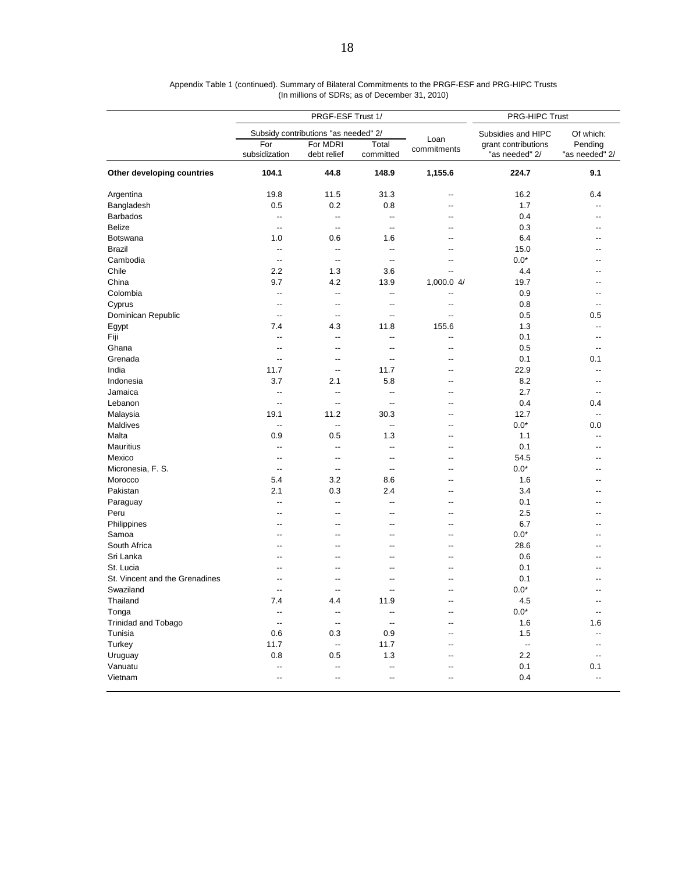|                                |                          | PRGF-ESF Trust 1/                    |                          |                          | PRG-HIPC Trust                        |                           |  |  |
|--------------------------------|--------------------------|--------------------------------------|--------------------------|--------------------------|---------------------------------------|---------------------------|--|--|
|                                |                          | Subsidy contributions "as needed" 2/ |                          |                          | Subsidies and HIPC<br>Of which:       |                           |  |  |
|                                | For<br>subsidization     | For MDRI<br>debt relief              | Total<br>committed       | Loan<br>commitments      | grant contributions<br>"as needed" 2/ | Pending<br>"as needed" 2/ |  |  |
| Other developing countries     | 104.1                    | 44.8                                 | 148.9                    | 1,155.6                  | 224.7                                 | 9.1                       |  |  |
| Argentina                      | 19.8                     | 11.5                                 | 31.3                     | $\overline{a}$           | 16.2                                  | 6.4                       |  |  |
| Bangladesh                     | 0.5                      | 0.2                                  | 0.8                      | $\overline{\phantom{a}}$ | 1.7                                   | $\overline{\phantom{a}}$  |  |  |
| <b>Barbados</b>                | $\overline{a}$           | $\overline{a}$                       | $\overline{\phantom{a}}$ | $-$                      | 0.4                                   | $-$                       |  |  |
| <b>Belize</b>                  | $\overline{a}$           | $\overline{a}$                       | $\overline{\phantom{a}}$ |                          | 0.3                                   |                           |  |  |
| Botswana                       | 1.0                      | 0.6                                  | 1.6                      |                          | 6.4                                   |                           |  |  |
| <b>Brazil</b>                  | $\overline{a}$           | $\overline{a}$                       | $\overline{\phantom{a}}$ |                          | 15.0                                  |                           |  |  |
| Cambodia                       | --                       | --                                   | --                       | $\overline{a}$           | $0.0*$                                |                           |  |  |
| Chile                          | 2.2                      | 1.3                                  | 3.6                      | $\overline{\phantom{a}}$ | 4.4                                   |                           |  |  |
| China                          | 9.7                      | 4.2                                  | 13.9                     | 1,000.0 4/               | 19.7                                  | --                        |  |  |
| Colombia                       | --                       | --                                   | --                       | $\overline{a}$           | 0.9                                   | ٠.                        |  |  |
| Cyprus                         | $\overline{a}$           | --                                   | --                       | $\overline{a}$           | 0.8                                   | --                        |  |  |
| Dominican Republic             | $\overline{a}$           | $\overline{a}$                       | $\overline{\phantom{a}}$ | $\overline{a}$           | 0.5                                   | 0.5                       |  |  |
|                                |                          |                                      | 11.8                     |                          | 1.3                                   | $\overline{\phantom{a}}$  |  |  |
| Egypt                          | 7.4                      | 4.3                                  |                          | 155.6                    |                                       |                           |  |  |
| Fiji                           | --                       | --                                   | --                       | --                       | 0.1                                   | --                        |  |  |
| Ghana                          | --                       | --                                   | $\overline{\phantom{a}}$ | $-$                      | 0.5                                   | $\overline{\phantom{a}}$  |  |  |
| Grenada                        | $\overline{\phantom{a}}$ | $\overline{a}$                       | --                       |                          | 0.1                                   | 0.1                       |  |  |
| India                          | 11.7                     | $\overline{\phantom{a}}$             | 11.7                     | $-$                      | 22.9                                  | $-$                       |  |  |
| Indonesia                      | 3.7                      | 2.1                                  | 5.8                      | $-$                      | 8.2                                   | $\overline{a}$            |  |  |
| Jamaica                        | --                       | $\overline{\phantom{a}}$             | --                       | $\overline{a}$           | 2.7                                   | --                        |  |  |
| Lebanon                        | $\overline{a}$           | $\overline{a}$                       | $\overline{\phantom{a}}$ | $-$                      | 0.4                                   | 0.4                       |  |  |
| Malaysia                       | 19.1                     | 11.2                                 | 30.3                     |                          | 12.7                                  | $\overline{\phantom{a}}$  |  |  |
| Maldives                       | --                       | $\overline{\phantom{a}}$             | $\overline{\phantom{a}}$ |                          | $0.0*$                                | 0.0                       |  |  |
| Malta                          | 0.9                      | 0.5                                  | 1.3                      | $-$                      | 1.1                                   | $-$                       |  |  |
| <b>Mauritius</b>               | $\overline{a}$           | $\overline{a}$                       | $\overline{\phantom{a}}$ | $-$                      | 0.1                                   | $-$                       |  |  |
| Mexico                         | $\overline{\phantom{a}}$ | --                                   | --                       | $\overline{a}$           | 54.5                                  | --                        |  |  |
| Micronesia, F. S.              | $\overline{a}$           | $\overline{a}$                       | $\overline{\phantom{a}}$ | $-$                      | $0.0*$                                | --                        |  |  |
| Morocco                        | 5.4                      | 3.2                                  | 8.6                      |                          | 1.6                                   |                           |  |  |
| Pakistan                       | 2.1                      | 0.3                                  | 2.4                      |                          | 3.4                                   |                           |  |  |
| Paraguay                       | $\overline{a}$           | $\overline{a}$                       | $\overline{\phantom{a}}$ | $-$                      | 0.1                                   | --                        |  |  |
| Peru                           | --                       | $\overline{a}$                       | --                       | --                       | 2.5                                   |                           |  |  |
| Philippines                    | --                       | $\overline{a}$                       | --                       | $\overline{a}$           | 6.7                                   | --                        |  |  |
| Samoa                          | $-$                      | $-$                                  | --                       | $-$                      | $0.0*$                                | --                        |  |  |
| South Africa                   |                          |                                      | --                       |                          | 28.6                                  |                           |  |  |
| Sri Lanka                      |                          | $-$                                  | --                       | $-$                      | 0.6                                   | $-$                       |  |  |
|                                |                          |                                      |                          |                          |                                       |                           |  |  |
| St. Lucia                      |                          |                                      | --                       |                          | 0.1                                   |                           |  |  |
| St. Vincent and the Grenadines |                          |                                      |                          |                          | 0.1                                   |                           |  |  |
| Swaziland                      | $\overline{a}$           | $\overline{a}$                       | $-$                      | --                       | $0.0*$                                | $\overline{\phantom{a}}$  |  |  |
| Thailand                       | 7.4                      | 4.4                                  | 11.9                     |                          | 4.5                                   | --                        |  |  |
| Tonga                          | --                       | --                                   | $\overline{\phantom{a}}$ |                          | $0.0*$                                | --                        |  |  |
| Trinidad and Tobago            | $\overline{\phantom{a}}$ | $\overline{\phantom{a}}$             | $\overline{\phantom{a}}$ |                          | 1.6                                   | 1.6                       |  |  |
| Tunisia                        | 0.6                      | 0.3                                  | 0.9                      |                          | 1.5                                   | $\overline{a}$            |  |  |
| Turkey                         | 11.7                     | --                                   | 11.7                     |                          | $\overline{\phantom{a}}$              |                           |  |  |
| Uruguay                        | 0.8                      | 0.5                                  | 1.3                      |                          | $2.2\,$                               | $\overline{\phantom{a}}$  |  |  |
| Vanuatu                        | --                       | $\overline{\phantom{a}}$             | --                       |                          | 0.1                                   | 0.1                       |  |  |
| Vietnam                        | --                       | --                                   | --                       |                          | 0.4                                   | --                        |  |  |

| Appendix Table 1 (continued). Summary of Bilateral Commitments to the PRGF-ESF and PRG-HIPC Trusts |  |
|----------------------------------------------------------------------------------------------------|--|
| (In millions of SDRs; as of December 31, 2010)                                                     |  |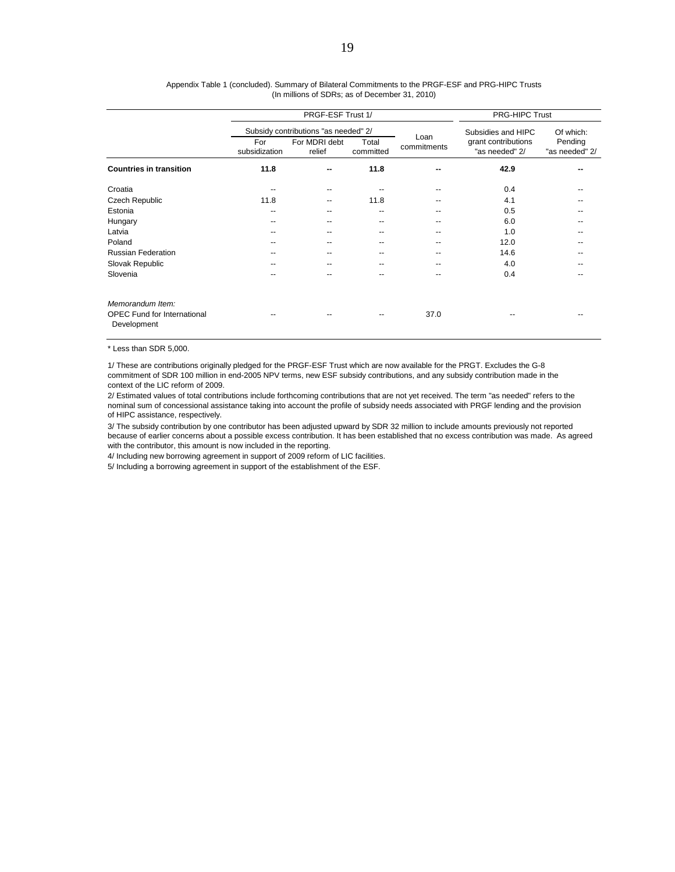|                                                                       |                      | PRGF-ESF Trust 1/                    | <b>PRG-HIPC Trust</b> |             |                                       |                           |
|-----------------------------------------------------------------------|----------------------|--------------------------------------|-----------------------|-------------|---------------------------------------|---------------------------|
|                                                                       |                      | Subsidy contributions "as needed" 2/ |                       | Loan        | Subsidies and HIPC                    | Of which:                 |
|                                                                       | For<br>subsidization | For MDRI debt<br>relief              | Total<br>committed    | commitments | grant contributions<br>"as needed" 2/ | Pending<br>"as needed" 2/ |
| <b>Countries in transition</b>                                        | 11.8                 | --                                   | 11.8                  |             | 42.9                                  |                           |
| Croatia                                                               | --                   | --                                   |                       |             | 0.4                                   |                           |
| Czech Republic                                                        | 11.8                 | --                                   | 11.8                  |             | 4.1                                   |                           |
| Estonia                                                               | --                   | --                                   | --                    |             | 0.5                                   |                           |
| Hungary                                                               | --                   | --                                   | --                    |             | 6.0                                   |                           |
| Latvia                                                                | --                   | --                                   | --                    | --          | 1.0                                   | --                        |
| Poland                                                                | --                   | --                                   | --                    |             | 12.0                                  |                           |
| <b>Russian Federation</b>                                             | --                   | --                                   | --                    | --          | 14.6                                  | --                        |
| Slovak Republic                                                       | --                   | --                                   | --                    | --          | 4.0                                   | --                        |
| Slovenia                                                              | --                   | --                                   | --                    | --          | 0.4                                   | --                        |
| Memorandum Item:<br><b>OPEC Fund for International</b><br>Development |                      |                                      |                       | 37.0        |                                       |                           |

#### Appendix Table 1 (concluded). Summary of Bilateral Commitments to the PRGF-ESF and PRG-HIPC Trusts (In millions of SDRs; as of December 31, 2010)

\* Less than SDR 5,000.

1/ These are contributions originally pledged for the PRGF-ESF Trust which are now available for the PRGT. Excludes the G-8 commitment of SDR 100 million in end-2005 NPV terms, new ESF subsidy contributions, and any subsidy contribution made in the context of the LIC reform of 2009.

2/ Estimated values of total contributions include forthcoming contributions that are not yet received. The term "as needed" refers to the nominal sum of concessional assistance taking into account the profile of subsidy needs associated with PRGF lending and the provision of HIPC assistance, respectively.

3/ The subsidy contribution by one contributor has been adjusted upward by SDR 32 million to include amounts previously not reported because of earlier concerns about a possible excess contribution. It has been established that no excess contribution was made. As agreed with the contributor, this amount is now included in the reporting.

4/ Including new borrowing agreement in support of 2009 reform of LIC facilities.

5/ Including a borrowing agreement in support of the establishment of the ESF.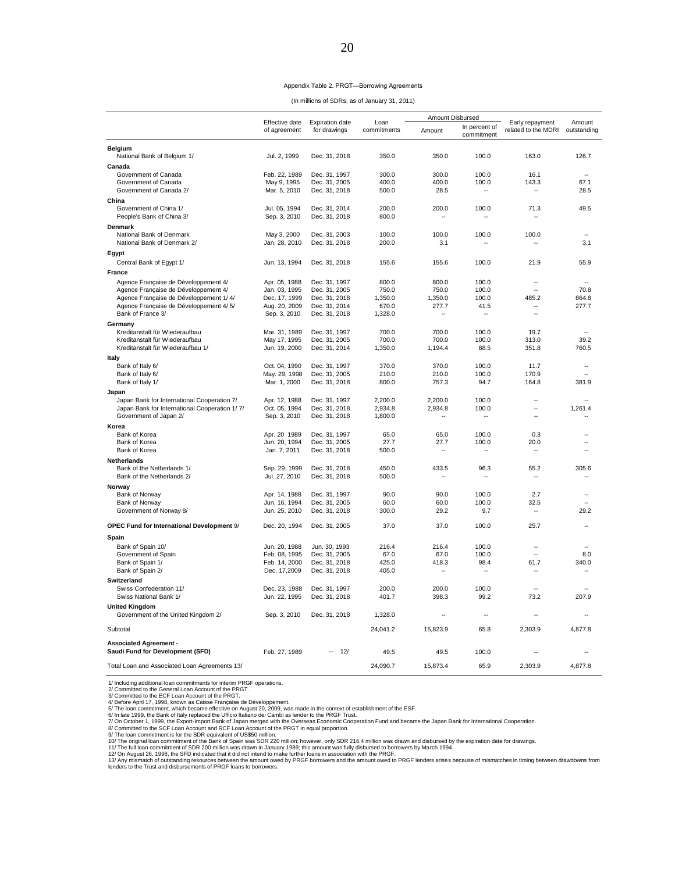|  |  | Appendix Table 2. PRGT-Borrowing Agreements |  |
|--|--|---------------------------------------------|--|
|--|--|---------------------------------------------|--|

| (In millions of SDRs; as of January 31, 2011) |
|-----------------------------------------------|
|-----------------------------------------------|

|                                                                                |                                |                                        |                     | Amount Disbursed         |                             |                                        |                          |
|--------------------------------------------------------------------------------|--------------------------------|----------------------------------------|---------------------|--------------------------|-----------------------------|----------------------------------------|--------------------------|
|                                                                                | Effective date<br>of agreement | <b>Expiration date</b><br>for drawings | Loan<br>commitments | Amount                   | In percent of<br>commitment | Early repayment<br>related to the MDRI | Amount<br>outstanding    |
| <b>Belgium</b>                                                                 |                                |                                        |                     |                          |                             |                                        |                          |
| National Bank of Belgium 1/                                                    | Jul. 2, 1999                   | Dec. 31, 2018                          | 350.0               | 350.0                    | 100.0                       | 163.0                                  | 126.7                    |
| Canada                                                                         |                                |                                        |                     |                          |                             |                                        |                          |
| Government of Canada<br>Government of Canada                                   | Feb. 22, 1989<br>May 9, 1995   | Dec. 31, 1997<br>Dec. 31, 2005         | 300.0<br>400.0      | 300.0<br>400.0           | 100.0<br>100.0              | 16.1<br>143.3                          | 67.1                     |
| Government of Canada 2/                                                        | Mar. 5, 2010                   | Dec. 31, 2018                          | 500.0               | 28.5                     | $\overline{\phantom{a}}$    | $\sim$                                 | 28.5                     |
| China                                                                          |                                |                                        |                     |                          |                             |                                        |                          |
| Government of China 1/                                                         | Jul. 05, 1994                  | Dec. 31, 2014                          | 200.0               | 200.0                    | 100.0                       | 71.3                                   | 49.5                     |
| People's Bank of China 3/                                                      | Sep. 3, 2010                   | Dec. 31, 2018                          | 800.0               |                          |                             |                                        |                          |
| Denmark                                                                        |                                |                                        |                     |                          |                             |                                        |                          |
| National Bank of Denmark                                                       | May 3, 2000                    | Dec. 31, 2003                          | 100.0               | 100.0                    | 100.0                       | 100.0                                  |                          |
| National Bank of Denmark 2/                                                    | Jan. 28, 2010                  | Dec. 31, 2018                          | 200.0               | 3.1                      | ٠.                          |                                        | 3.1                      |
| Egypt                                                                          |                                |                                        |                     |                          |                             |                                        |                          |
| Central Bank of Egypt 1/                                                       | Jun. 13, 1994                  | Dec. 31, 2018                          | 155.6               | 155.6                    | 100.0                       | 21.9                                   | 55.9                     |
| <b>France</b>                                                                  |                                |                                        |                     |                          |                             |                                        |                          |
|                                                                                |                                |                                        |                     |                          |                             |                                        |                          |
| Agence Française de Développement 4/                                           | Apr. 05, 1988                  | Dec. 31, 1997                          | 800.0               | 800.0                    | 100.0                       | $\overline{a}$<br>$\overline{a}$       | $\overline{\phantom{a}}$ |
| Agence Française de Développement 4/<br>Agence Française de Développement 1/4/ | Jan. 03, 1995<br>Dec. 17, 1999 | Dec. 31, 2005<br>Dec. 31, 2018         | 750.0<br>1,350.0    | 750.0<br>1,350.0         | 100.0<br>100.0              | 485.2                                  | 70.8<br>864.8            |
| Agence Française de Développement 4/5/                                         | Aug. 20, 2009                  | Dec. 31, 2014                          | 670.0               | 277.7                    | 41.5                        | ä.                                     | 277.7                    |
| Bank of France 3/                                                              | Sep. 3, 2010                   | Dec. 31, 2018                          | 1,328.0             | $\sim$                   | $\sim$                      | $\sim$                                 |                          |
| Germany                                                                        |                                |                                        |                     |                          |                             |                                        |                          |
| Kreditanstalt für Wiederaufbau                                                 | Mar. 31, 1989                  | Dec. 31, 1997                          | 700.0               | 700.0                    | 100.0                       | 19.7                                   |                          |
| Kreditanstalt für Wiederaufbau                                                 | May 17, 1995                   | Dec. 31, 2005                          | 700.0               | 700.0                    | 100.0                       | 313.0                                  | 39.2                     |
| Kreditanstalt für Wiederaufbau 1/                                              | Jun. 19, 2000                  | Dec. 31, 2014                          | 1,350.0             | 1,194.4                  | 88.5                        | 351.8                                  | 760.5                    |
| Italy                                                                          |                                |                                        |                     |                          |                             |                                        |                          |
| Bank of Italy 6/                                                               | Oct. 04, 1990                  | Dec. 31, 1997                          | 370.0               | 370.0                    | 100.0                       | 11.7                                   | $\overline{\phantom{a}}$ |
| Bank of Italy 6/                                                               | May. 29, 1998                  | Dec. 31, 2005                          | 210.0               | 210.0                    | 100.0                       | 170.9                                  | ÷.                       |
| Bank of Italy 1/                                                               | Mar. 1, 2000                   | Dec. 31, 2018                          | 800.0               | 757.3                    | 94.7                        | 164.8                                  | 381.9                    |
| Japan                                                                          |                                |                                        |                     |                          |                             |                                        |                          |
| Japan Bank for International Cooperation 7/                                    | Apr. 12, 1988                  | Dec. 31, 1997                          | 2,200.0             | 2,200.0                  | 100.0                       | ä.                                     | ÷.                       |
| Japan Bank for International Cooperation 1/7/                                  | Oct. 05, 1994                  | Dec. 31, 2018                          | 2,934.8             | 2,934.8                  | 100.0                       |                                        | 1,261.4                  |
| Government of Japan 2/                                                         | Sep. 3, 2010                   | Dec. 31, 2018                          | 1,800.0             | $\overline{\phantom{a}}$ | ٠.                          | $\overline{a}$                         |                          |
| Korea                                                                          |                                |                                        |                     |                          |                             |                                        |                          |
| Bank of Korea                                                                  | Apr. 20 1989                   | Dec. 31, 1997                          | 65.0                | 65.0                     | 100.0                       | 0.3                                    |                          |
| Bank of Korea                                                                  | Jun. 20, 1994                  | Dec. 31, 2005                          | 27.7                | 27.7                     | 100.0                       | 20.0                                   |                          |
| Bank of Korea                                                                  | Jan. 7, 2011                   | Dec. 31, 2018                          | 500.0               | $\overline{a}$           | $\overline{\phantom{a}}$    | $\sim$                                 |                          |
| <b>Netherlands</b>                                                             |                                |                                        |                     |                          |                             |                                        |                          |
| Bank of the Netherlands 1/                                                     | Sep. 29, 1999                  | Dec. 31, 2018                          | 450.0               | 433.5                    | 96.3                        | 55.2                                   | 305.6                    |
| Bank of the Netherlands 2/                                                     | Jul. 27, 2010                  | Dec. 31, 2018                          | 500.0               | $\overline{\phantom{a}}$ | ٠.                          | ٠.                                     |                          |
| Norway                                                                         |                                |                                        |                     |                          |                             |                                        |                          |
| Bank of Norway                                                                 | Apr. 14, 1988                  | Dec. 31, 1997                          | 90.0                | 90.0                     | 100.0                       | 2.7                                    | з.                       |
| Bank of Norway                                                                 | Jun. 16, 1994                  | Dec. 31, 2005                          | 60.0                | 60.0                     | 100.0                       | 32.5                                   |                          |
| Government of Norway 8/                                                        | Jun. 25, 2010                  | Dec. 31, 2018                          | 300.0               | 29.2                     | 9.7                         |                                        | 29.2                     |
| OPEC Fund for International Development 9/                                     | Dec. 20, 1994                  | Dec. 31, 2005                          | 37.0                | 37.0                     | 100.0                       | 25.7                                   |                          |
|                                                                                |                                |                                        |                     |                          |                             |                                        |                          |
| Spain                                                                          |                                |                                        |                     |                          |                             |                                        |                          |
| Bank of Spain 10/                                                              | Jun. 20, 1988                  | Jun. 30, 1993                          | 216.4               | 216.4<br>67.0            | 100.0                       | $\overline{\phantom{a}}$<br>$\sim$     |                          |
| Government of Spain<br>Bank of Spain 1/                                        | Feb. 08, 1995<br>Feb. 14, 2000 | Dec. 31, 2005<br>Dec. 31, 2018         | 67.0<br>425.0       | 418.3                    | 100.0<br>98.4               | 61.7                                   | 8.0<br>340.0             |
| Bank of Spain 2/                                                               | Dec. 17,2009                   | Dec. 31, 2018                          | 405.0               |                          | $\ddotsc$                   |                                        |                          |
| Switzerland                                                                    |                                |                                        |                     |                          |                             |                                        |                          |
| Swiss Confederation 11/                                                        | Dec. 23, 1988                  | Dec. 31, 1997                          | 200.0               | 200.0                    | 100.0                       | ш.                                     |                          |
| Swiss National Bank 1/                                                         | Jun. 22, 1995                  | Dec. 31, 2018                          | 401.7               | 398.3                    | 99.2                        | 73.2                                   | 207.9                    |
| <b>United Kingdom</b>                                                          |                                |                                        |                     |                          |                             |                                        |                          |
| Government of the United Kingdom 2/                                            | Sep. 3, 2010                   | Dec. 31, 2018                          | 1,328.0             |                          | $\ddotsc$                   |                                        |                          |
|                                                                                |                                |                                        |                     |                          |                             |                                        |                          |
| Subtotal                                                                       |                                |                                        | 24,041.2            | 15,823.9                 | 65.8                        | 2,303.9                                | 4,877.8                  |
| <b>Associated Agreement -</b>                                                  |                                |                                        |                     |                          |                             |                                        |                          |
| Saudi Fund for Development (SFD)                                               | Feb. 27, 1989                  | 12/                                    | 49.5                | 49.5                     | 100.0                       |                                        |                          |
|                                                                                |                                |                                        |                     |                          |                             |                                        |                          |
| Total Loan and Associated Loan Agreements 13/                                  |                                |                                        | 24.090.7            | 15.873.4                 | 65.9                        | 2.303.9                                | 4.877.8                  |

1/ Including additional loan commitments for interim PRGF<br>2/ Committed to the General Loan Account of the PRGT.<br>3/ Committed to the ECF Loan Account of the PRGT.<br>4/ Belore April 17, 1998, known as Caise Française de Dévelo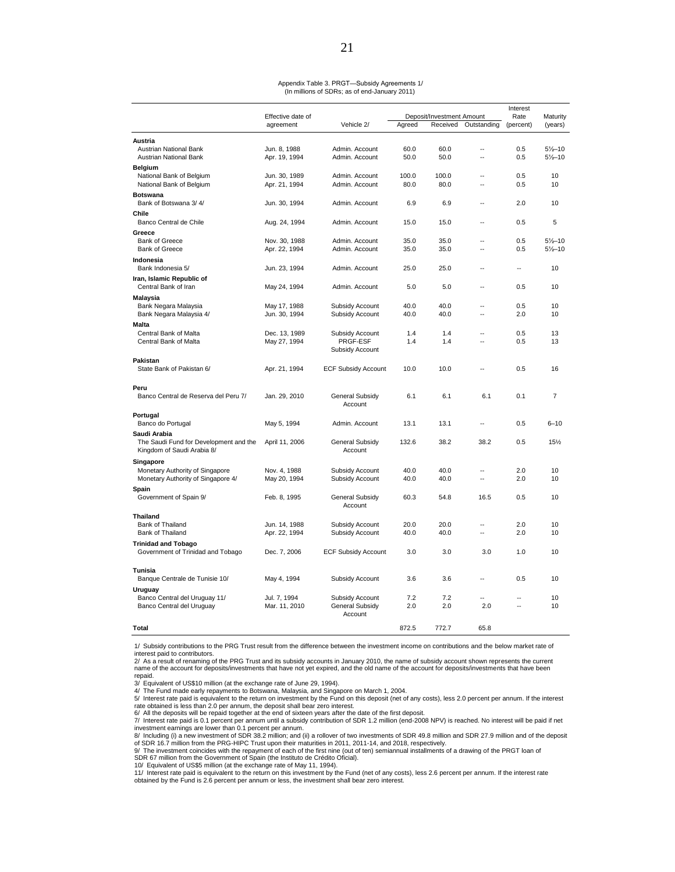#### Appendix Table 3. PRGT—Subsidy Agreements 1/ (In millions of SDRs; as of end-January 2011)

|                                        |                   |                            |        |                           |                          | Interest                 |                     |
|----------------------------------------|-------------------|----------------------------|--------|---------------------------|--------------------------|--------------------------|---------------------|
|                                        | Effective date of |                            |        | Deposit/Investment Amount |                          | Rate                     | Maturity            |
|                                        | agreement         | Vehicle 2/                 | Agreed | Received                  | Outstanding              | (percent)                | (years)             |
| Austria                                |                   |                            |        |                           |                          |                          |                     |
| Austrian National Bank                 | Jun. 8, 1988      | Admin. Account             | 60.0   | 60.0                      | $\sim$                   | 0.5                      | $5\frac{1}{2} - 10$ |
| Austrian National Bank                 | Apr. 19, 1994     | Admin. Account             | 50.0   | 50.0                      | $\sim$                   | 0.5                      | $5\frac{1}{2} - 10$ |
| Belgium                                |                   |                            |        |                           |                          |                          |                     |
| National Bank of Belgium               | Jun. 30, 1989     | Admin. Account             | 100.0  | 100.0                     | $\overline{\phantom{a}}$ | 0.5                      | 10                  |
| National Bank of Belgium               | Apr. 21, 1994     | Admin. Account             | 80.0   | 80.0                      | $\ddot{\phantom{a}}$     | 0.5                      | 10                  |
|                                        |                   |                            |        |                           |                          |                          |                     |
| <b>Botswana</b>                        |                   |                            |        |                           | $\overline{a}$           |                          |                     |
| Bank of Botswana 3/4/                  | Jun. 30, 1994     | Admin. Account             | 6.9    | 6.9                       |                          | 2.0                      | 10                  |
| Chile                                  |                   |                            |        |                           |                          |                          |                     |
| Banco Central de Chile                 | Aug. 24, 1994     | Admin. Account             | 15.0   | 15.0                      | $\overline{a}$           | 0.5                      | 5                   |
| Greece                                 |                   |                            |        |                           |                          |                          |                     |
| <b>Bank of Greece</b>                  | Nov. 30, 1988     | Admin, Account             | 35.0   | 35.0                      | $\overline{a}$           | 0.5                      | $5\frac{1}{2} - 10$ |
| <b>Bank of Greece</b>                  | Apr. 22, 1994     | Admin. Account             | 35.0   | 35.0                      |                          | 0.5                      | $5\frac{1}{2} - 10$ |
| Indonesia                              |                   |                            |        |                           |                          |                          |                     |
| Bank Indonesia 5/                      | Jun. 23, 1994     | Admin. Account             | 25.0   | 25.0                      | $\overline{a}$           | $\overline{\phantom{a}}$ | 10                  |
| Iran, Islamic Republic of              |                   |                            |        |                           |                          |                          |                     |
| Central Bank of Iran                   | May 24, 1994      | Admin. Account             | 5.0    | 5.0                       |                          | 0.5                      | 10                  |
| Malaysia                               |                   |                            |        |                           |                          |                          |                     |
| Bank Negara Malaysia                   | May 17, 1988      | Subsidy Account            | 40.0   | 40.0                      |                          | 0.5                      | 10                  |
| Bank Negara Malaysia 4/                | Jun. 30, 1994     | Subsidy Account            | 40.0   | 40.0                      | $\sim$                   | 2.0                      | 10                  |
| Malta                                  |                   |                            |        |                           |                          |                          |                     |
| Central Bank of Malta                  | Dec. 13, 1989     | Subsidy Account            | 1.4    | 1.4                       | $\sim$                   | 0.5                      | 13                  |
| Central Bank of Malta                  | May 27, 1994      | PRGF-ESF                   | 1.4    | 1.4                       | $\sim$                   | 0.5                      | 13                  |
|                                        |                   | Subsidy Account            |        |                           |                          |                          |                     |
|                                        |                   |                            |        |                           |                          |                          |                     |
| Pakistan<br>State Bank of Pakistan 6/  | Apr. 21, 1994     | <b>ECF Subsidy Account</b> | 10.0   | 10.0                      |                          | 0.5                      | 16                  |
|                                        |                   |                            |        |                           |                          |                          |                     |
| Peru                                   |                   |                            |        |                           |                          |                          |                     |
| Banco Central de Reserva del Peru 7/   | Jan. 29, 2010     | General Subsidy            | 6.1    | 6.1                       | 6.1                      | 0.1                      | $\overline{7}$      |
|                                        |                   | Account                    |        |                           |                          |                          |                     |
|                                        |                   |                            |        |                           |                          |                          |                     |
| Portugal                               |                   |                            |        |                           | $\overline{\phantom{a}}$ |                          |                     |
| Banco do Portugal                      | May 5, 1994       | Admin. Account             | 13.1   | 13.1                      |                          | 0.5                      | $6 - 10$            |
| Saudi Arabia                           |                   |                            |        |                           |                          |                          |                     |
| The Saudi Fund for Development and the | April 11, 2006    | General Subsidy            | 132.6  | 38.2                      | 38.2                     | 0.5                      | 15%                 |
| Kingdom of Saudi Arabia 8/             |                   | Account                    |        |                           |                          |                          |                     |
| Singapore                              |                   |                            |        |                           |                          |                          |                     |
| Monetary Authority of Singapore        | Nov. 4, 1988      | Subsidy Account            | 40.0   | 40.0                      | $\sim$                   | 2.0                      | 10                  |
| Monetary Authority of Singapore 4/     | May 20, 1994      | Subsidy Account            | 40.0   | 40.0                      | $\sim$                   | 2.0                      | 10                  |
| Spain                                  |                   |                            |        |                           |                          |                          |                     |
| Government of Spain 9/                 | Feb. 8, 1995      | General Subsidy            | 60.3   | 54.8                      | 16.5                     | 0.5                      | 10                  |
|                                        |                   | Account                    |        |                           |                          |                          |                     |
| Thailand                               |                   |                            |        |                           |                          |                          |                     |
| Bank of Thailand                       | Jun. 14, 1988     | Subsidy Account            | 20.0   | 20.0                      | $\overline{a}$           | 2.0                      | 10                  |
| Bank of Thailand                       | Apr. 22, 1994     | Subsidy Account            | 40.0   | 40.0                      | $\overline{\phantom{a}}$ | 2.0                      | 10                  |
| <b>Trinidad and Tobago</b>             |                   |                            |        |                           |                          |                          |                     |
| Government of Trinidad and Tobago      | Dec. 7, 2006      | <b>ECF Subsidy Account</b> | 3.0    | 3.0                       | 3.0                      | 1.0                      | 10                  |
|                                        |                   |                            |        |                           |                          |                          |                     |
| Tunisia                                |                   |                            |        |                           |                          |                          |                     |
| Banque Centrale de Tunisie 10/         | May 4, 1994       | Subsidy Account            | 3.6    | 3.6                       | $\overline{a}$           | 0.5                      | 10                  |
| Uruguay                                |                   |                            |        |                           |                          |                          |                     |
| Banco Central del Uruguay 11/          | Jul. 7, 1994      | Subsidy Account            | 7.2    | 7.2                       | Ξ.                       |                          | 10                  |
| Banco Central del Uruguay              | Mar. 11, 2010     | General Subsidy            | 2.0    | 2.0                       | 2.0                      | Ξ.                       | 10                  |
|                                        |                   | Account                    |        |                           |                          |                          |                     |
| Total                                  |                   |                            | 872.5  | 772.7                     | 65.8                     |                          |                     |
|                                        |                   |                            |        |                           |                          |                          |                     |

1/ Subsidy contributions to the PRG Trust result from the difference between the investment income on contributions and the below market rate of

interest paid to contributors.<br>2/ As a result of renaming of the PRG Trust and its subsidy accounts in January 2010, the name of subsidy account shown represents the current name of the account for deposits/investments that have not yet expired, and the old name of the account for deposits/investments that have been repaid.

3/ Equivalent of US\$10 million (at the exchange rate of June 29, 1994).

4/ The Fund made early repayments to Botswana, Malaysia, and Singapore on March 1, 2004.<br>5/ Interest rate paid is equivalent to the return on investment by the Fund on this deposit (net of any costs), less 2.0 percent per rate obtained is less than 2.0 per annum, the deposit shall bear zero interest.

6/ All the deposits will be repaid together at the end of sixteen years after the date of the first deposit.<br>7/ Interest rate paid is 0.1 percent per annum until a subsidy contribution of SDR 1.2 million (end-2008 NPV) i

investment earnings are lower than 0.1 percent per annum.<br>8/ Including (i) a new investment of SDR 38.2 million; and (ii) a rollover of two investments of SDR 49.8 million and SDR 27.9 million and of the deposit<br>of SDR 16.

SDR 67 million from the Government of Spain (the Instituto de Crédito Oficial).<br>10/ Equivalent of US\$5 million (at the exchange rate of May 11, 1994).<br>11/ Interest rate paid is equivalent to the return on this investment b

obtained by the Fund is 2.6 percent per annum or less, the investment shall bear zero interest.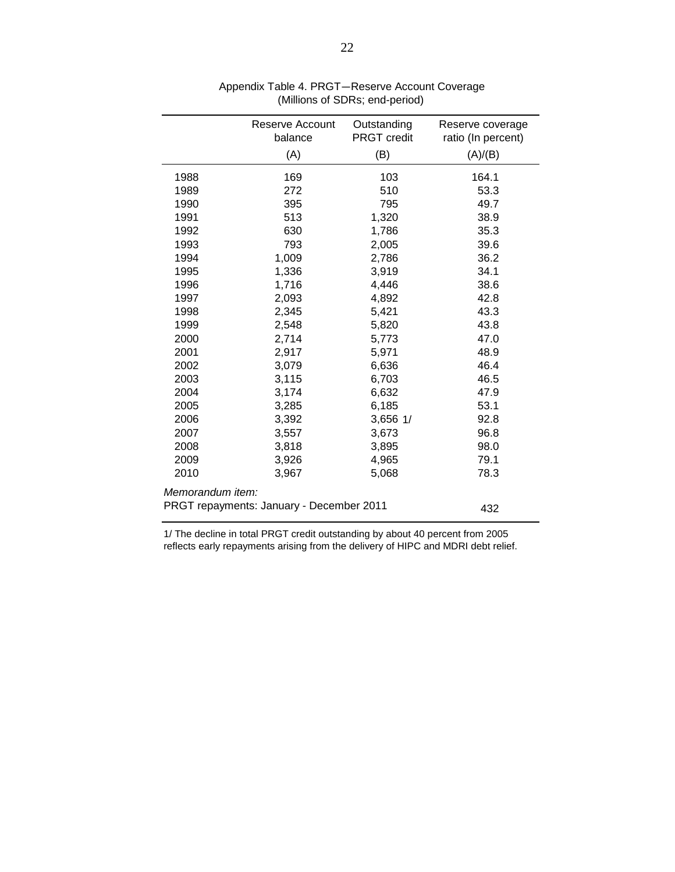|                                          | Reserve Account | Outstanding<br><b>PRGT</b> credit | Reserve coverage   |
|------------------------------------------|-----------------|-----------------------------------|--------------------|
|                                          | balance         |                                   | ratio (In percent) |
|                                          | (A)             | (B)                               | (A)/(B)            |
| 1988                                     | 169             | 103                               | 164.1              |
| 1989                                     | 272             | 510                               | 53.3               |
| 1990                                     | 395             | 795                               | 49.7               |
| 1991                                     | 513             | 1,320                             | 38.9               |
| 1992                                     | 630             | 1,786                             | 35.3               |
| 1993                                     | 793             | 2,005                             | 39.6               |
| 1994                                     | 1,009           | 2,786                             | 36.2               |
| 1995                                     | 1,336           | 3,919                             | 34.1               |
| 1996                                     | 1,716           | 4,446                             | 38.6               |
| 1997                                     | 2,093           | 4,892                             | 42.8               |
| 1998                                     | 2,345           | 5,421                             | 43.3               |
| 1999                                     | 2,548           | 5,820                             | 43.8               |
| 2000                                     | 2,714           | 5,773                             | 47.0               |
| 2001                                     | 2,917           | 5,971                             | 48.9               |
| 2002                                     | 3,079           | 6,636                             | 46.4               |
| 2003                                     | 3,115           | 6,703                             | 46.5               |
| 2004                                     | 3,174           | 6,632                             | 47.9               |
| 2005                                     | 3,285           | 6,185                             | 53.1               |
| 2006                                     | 3,392           | 3,656 1/                          | 92.8               |
| 2007                                     | 3,557           | 3,673                             | 96.8               |
| 2008                                     | 3,818           | 3,895                             | 98.0               |
| 2009                                     | 3,926           | 4,965                             | 79.1               |
| 2010                                     | 3,967           | 5,068                             | 78.3               |
| Memorandum item:                         |                 |                                   |                    |
| PRGT repayments: January - December 2011 | 432             |                                   |                    |

 Appendix Table 4. PRGT—Reserve Account Coverage (Millions of SDRs; end-period)

1/ The decline in total PRGT credit outstanding by about 40 percent from 2005 reflects early repayments arising from the delivery of HIPC and MDRI debt relief.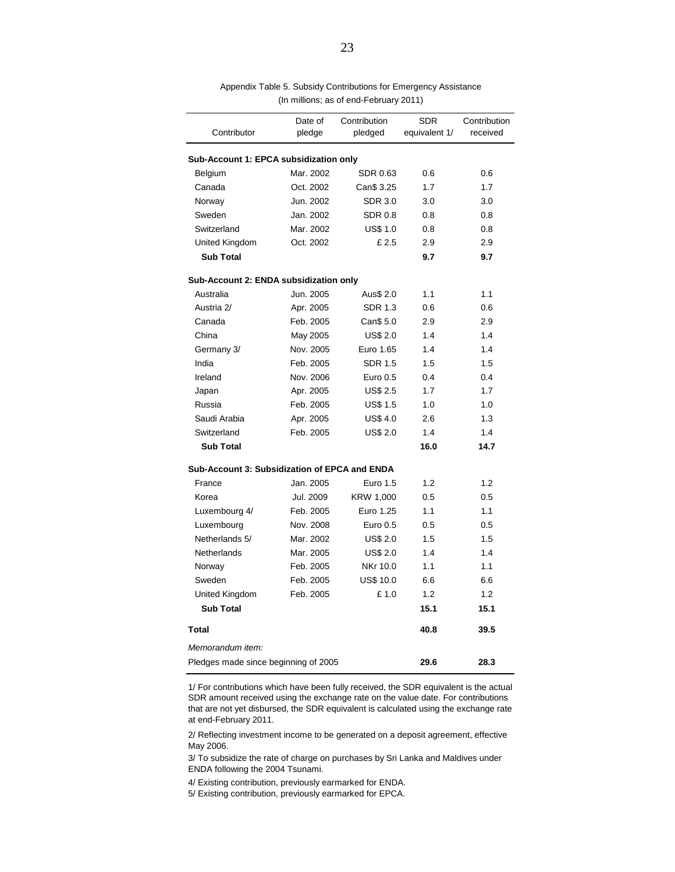| Contributor                                   | Date of<br>pledge | Contribution<br>pledged | <b>SDR</b><br>equivalent 1/ | Contribution<br>received |
|-----------------------------------------------|-------------------|-------------------------|-----------------------------|--------------------------|
|                                               |                   |                         |                             |                          |
| Sub-Account 1: EPCA subsidization only        |                   |                         |                             |                          |
| Belgium                                       | Mar. 2002         | SDR 0.63                | 0.6                         | 0.6                      |
| Canada                                        | Oct. 2002         | Can\$ 3.25              | 1.7                         | 1.7                      |
| Norway                                        | Jun. 2002         | <b>SDR 3.0</b>          | 3.0                         | 3.0                      |
| Sweden                                        | Jan. 2002         | <b>SDR 0.8</b>          | 0.8                         | 0.8                      |
| Switzerland                                   | Mar. 2002         | <b>US\$ 1.0</b>         | 0.8                         | 0.8                      |
| United Kingdom                                | Oct. 2002         | £2.5                    | 2.9                         | 2.9                      |
| <b>Sub Total</b>                              |                   |                         | 9.7                         | 9.7                      |
| Sub-Account 2: ENDA subsidization only        |                   |                         |                             |                          |
| Australia                                     | Jun. 2005         | Aus\$ 2.0               | 1.1                         | 1.1                      |
| Austria 2/                                    | Apr. 2005         | <b>SDR 1.3</b>          | 0.6                         | 0.6                      |
| Canada                                        | Feb. 2005         | Can\$ 5.0               | 2.9                         | 2.9                      |
| China                                         | May 2005          | US\$ 2.0                | 1.4                         | 1.4                      |
| Germany 3/                                    | Nov. 2005         | Euro 1.65               | 1.4                         | 1.4                      |
| India                                         | Feb. 2005         | <b>SDR 1.5</b>          | 1.5                         | 1.5                      |
| Ireland                                       | Nov. 2006         | Euro 0.5                | 0.4                         | 0.4                      |
| Japan                                         | Apr. 2005         | <b>US\$ 2.5</b>         | 1.7                         | 1.7                      |
| Russia                                        | Feb. 2005         | US\$ 1.5                | 1.0                         | 1.0                      |
| Saudi Arabia                                  | Apr. 2005         | <b>US\$4.0</b>          | 2.6                         | 1.3                      |
| Switzerland                                   | Feb. 2005         | US\$ 2.0                | 1.4                         | 1.4                      |
| <b>Sub Total</b>                              |                   |                         | 16.0                        | 14.7                     |
| Sub-Account 3: Subsidization of EPCA and ENDA |                   |                         |                             |                          |
| France                                        | Jan. 2005         | Euro 1.5                | 1.2                         | 1.2                      |
| Korea                                         | Jul. 2009         | KRW 1,000               | 0.5                         | 0.5                      |
| Luxembourg 4/                                 | Feb. 2005         | Euro 1.25               | 1.1                         | 1.1                      |
| Luxembourg                                    | Nov. 2008         | Euro 0.5                | 0.5                         | 0.5                      |
| Netherlands 5/                                | Mar. 2002         | <b>US\$ 2.0</b>         | 1.5                         | 1.5                      |
| Netherlands                                   | Mar. 2005         | <b>US\$ 2.0</b>         | 1.4                         | 1.4                      |
| Norway                                        | Feb. 2005         | NKr 10.0                | 1.1                         | 1.1                      |
| Sweden                                        | Feb. 2005         | <b>US\$ 10.0</b>        | 6.6                         | 6.6                      |
| United Kingdom                                | Feb. 2005         | £1.0                    | 1.2                         | 1.2                      |
| <b>Sub Total</b>                              |                   |                         | 15.1                        | 15.1                     |
| <b>Total</b>                                  |                   |                         | 40.8                        | 39.5                     |
| Memorandum item:                              |                   |                         |                             |                          |
| Pledges made since beginning of 2005          |                   |                         | 29.6                        | 28.3                     |

Appendix Table 5. Subsidy Contributions for Emergency Assistance (In millions; as of end-February 2011)

1/ For contributions which have been fully received, the SDR equivalent is the actual SDR amount received using the exchange rate on the value date. For contributions that are not yet disbursed, the SDR equivalent is calculated using the exchange rate at end-February 2011.

2/ Reflecting investment income to be generated on a deposit agreement, effective May 2006.

3/ To subsidize the rate of charge on purchases by Sri Lanka and Maldives under ENDA following the 2004 Tsunami.

4/ Existing contribution, previously earmarked for ENDA.

5/ Existing contribution, previously earmarked for EPCA.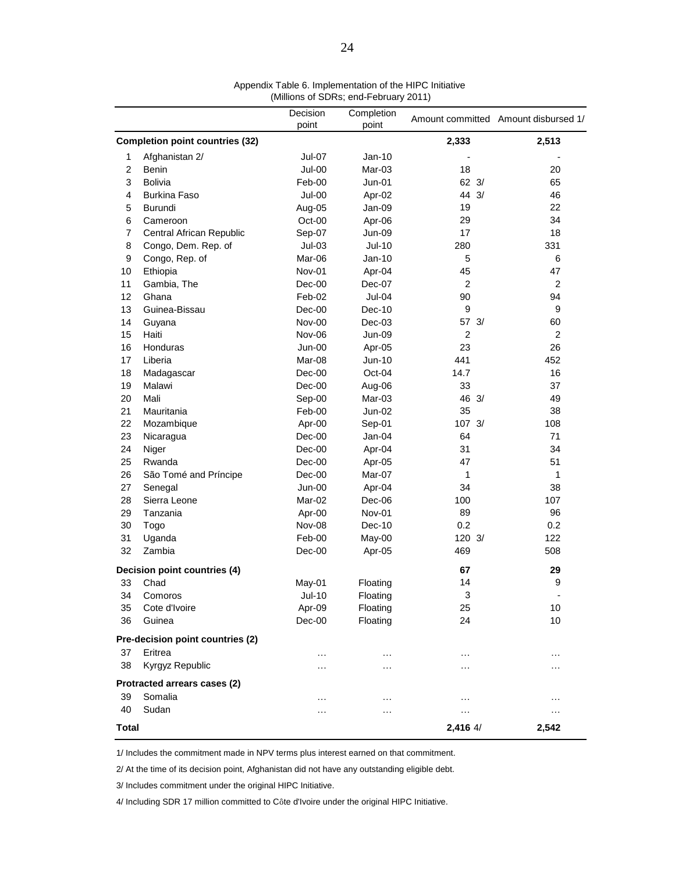|                              |                                        | Decision<br>point | Completion<br>point |                   | Amount committed Amount disbursed 1/ |
|------------------------------|----------------------------------------|-------------------|---------------------|-------------------|--------------------------------------|
|                              | <b>Completion point countries (32)</b> |                   |                     | 2,333             | 2,513                                |
|                              |                                        |                   |                     |                   |                                      |
| 1                            | Afghanistan 2/                         | $Jul-07$          | Jan-10              |                   |                                      |
| $\overline{c}$               | Benin                                  | <b>Jul-00</b>     | Mar-03              | 18                | 20                                   |
| 3                            | <b>Bolivia</b>                         | Feb-00            | $Jun-01$            | $62 \frac{3}{2}$  | 65                                   |
| 4                            | <b>Burkina Faso</b>                    | $Jul-00$          | Apr-02              | 44 3/             | 46                                   |
| 5                            | <b>Burundi</b>                         | Aug-05            | Jan-09              | 19                | 22                                   |
| 6                            | Cameroon                               | Oct-00            | Apr-06              | 29                | 34                                   |
| $\overline{7}$               | Central African Republic               | Sep-07            | Jun-09              | 17                | 18                                   |
| 8                            | Congo, Dem. Rep. of                    | $Jul-03$          | <b>Jul-10</b>       | 280               | 331                                  |
| 9                            | Congo, Rep. of                         | Mar-06            | Jan-10              | 5                 | 6                                    |
| 10                           | Ethiopia                               | Nov-01            | Apr-04              | 45                | 47                                   |
| 11                           | Gambia, The                            | Dec-00            | Dec-07              | $\overline{2}$    | $\overline{2}$                       |
| 12                           | Ghana                                  | Feb-02            | $Jul-04$            | 90                | 94                                   |
| 13                           | Guinea-Bissau                          | $Dec-00$          | Dec-10              | 9                 | 9                                    |
| 14                           | Guyana                                 | Nov-00            | $Dec-03$            | 57 3/             | 60                                   |
| 15                           | Haiti                                  | Nov-06            | <b>Jun-09</b>       | $\overline{c}$    | $\overline{2}$                       |
| 16                           | Honduras                               | Jun-00            | Apr-05              | 23                | 26                                   |
| 17                           | Liberia                                | Mar-08            | Jun-10              | 441               | 452                                  |
| 18                           | Madagascar                             | $Dec-00$          | Oct-04              | 14.7              | 16                                   |
| 19                           | Malawi                                 | Dec-00            | Aug-06              | 33                | 37                                   |
| 20                           | Mali                                   | Sep-00            | Mar-03              | 46 3/             | 49                                   |
| 21                           | Mauritania                             | Feb-00            | $Jun-02$            | 35                | 38                                   |
| 22                           | Mozambique                             | Apr-00            | Sep-01              | 107 3/            | 108                                  |
| 23                           | Nicaragua                              | Dec-00            | Jan-04              | 64                | 71                                   |
| 24                           | Niger                                  | Dec-00            | Apr-04              | 31                | 34                                   |
| 25                           | Rwanda                                 | Dec-00            | Apr-05              | 47                | 51                                   |
| 26                           | São Tomé and Príncipe                  | Dec-00            | Mar-07              | 1                 | 1                                    |
| 27                           | Senegal                                | Jun-00            | Apr-04              | 34                | 38                                   |
| 28                           | Sierra Leone                           | Mar-02            | Dec-06              | 100               | 107                                  |
| 29                           | Tanzania                               | Apr-00            | Nov-01              | 89                | 96                                   |
| 30                           | Togo                                   | Nov-08            | $Dec-10$            | 0.2               | 0.2                                  |
| 31                           | Uganda                                 | Feb-00            | May-00              | $120 \frac{3}{2}$ | 122                                  |
| 32                           | Zambia                                 | $Dec-00$          | Apr-05              | 469               | 508                                  |
| Decision point countries (4) |                                        |                   |                     | 67                | 29                                   |
| 33                           | Chad                                   | May-01            | Floating            | 14                | 9                                    |
| 34                           | Comoros                                | Jul-10            | Floating            | 3                 |                                      |
| 35                           | Cote d'Ivoire                          | Apr-09            | Floating            | 25                | 10                                   |
| 36                           | Guinea                                 | Dec-00            | Floating            | 24                | 10                                   |
|                              | Pre-decision point countries (2)       |                   |                     |                   |                                      |
| 37                           | Eritrea                                | $\cdots$          | $\cdots$            | $\ddotsc$         | $\cdots$                             |
| 38                           | Kyrgyz Republic                        | .                 | .                   | $\ddotsc$         | $\cdots$                             |
|                              | Protracted arrears cases (2)           |                   |                     |                   |                                      |
| 39                           | Somalia                                | .                 | $\cdots$            | $\ddotsc$         | $\ddotsc$                            |
| 40                           | Sudan                                  | .                 | .                   | $\sim$            | $\cdots$                             |
| Total                        |                                        |                   |                     | 2,416 4/          | 2,542                                |
|                              |                                        |                   |                     |                   |                                      |

Appendix Table 6. Implementation of the HIPC Initiative (Millions of SDRs; end-February 2011)

1/ Includes the commitment made in NPV terms plus interest earned on that commitment.

2/ At the time of its decision point, Afghanistan did not have any outstanding eligible debt.

3/ Includes commitment under the original HIPC Initiative.

4/ Including SDR 17 million committed to Côte d'Ivoire under the original HIPC Initiative.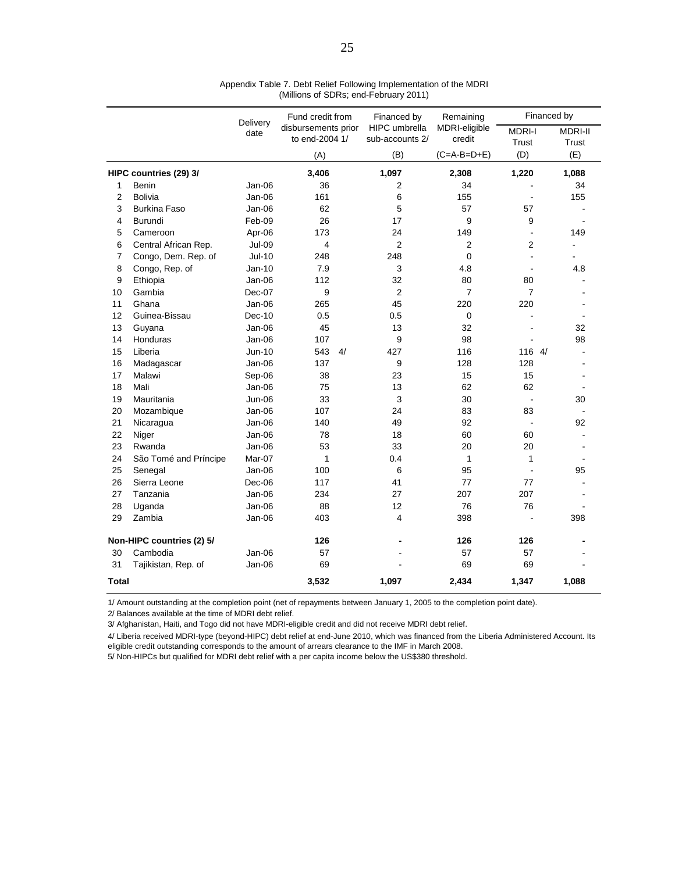|                           |                       | Delivery      | Fund credit from | Financed by<br>HIPC umbrella<br>disbursements prior<br>to end-2004 1/<br>sub-accounts 2/ | Remaining<br>MDRI-eligible<br>credit | Financed by            |                         |
|---------------------------|-----------------------|---------------|------------------|------------------------------------------------------------------------------------------|--------------------------------------|------------------------|-------------------------|
|                           |                       | date          |                  |                                                                                          |                                      | <b>MDRI-I</b><br>Trust | <b>MDRI-II</b><br>Trust |
|                           |                       |               | (A)              | (B)                                                                                      | $(C=A-B=D+E)$                        | (D)                    | (E)                     |
| HIPC countries (29) 3/    |                       |               | 3,406            | 1,097                                                                                    | 2,308                                | 1,220                  | 1,088                   |
| 1                         | Benin                 | $Jan-06$      | 36               | $\overline{2}$                                                                           | 34                                   |                        | 34                      |
| $\overline{2}$            | <b>Bolivia</b>        | $Jan-06$      | 161              | 6                                                                                        | 155                                  | ÷                      | 155                     |
| 3                         | <b>Burkina Faso</b>   | Jan-06        | 62               | 5                                                                                        | 57                                   | 57                     |                         |
| 4                         | <b>Burundi</b>        | Feb-09        | 26               | 17                                                                                       | 9                                    | 9                      |                         |
| 5                         | Cameroon              | Apr-06        | 173              | 24                                                                                       | 149                                  | $\blacksquare$         | 149                     |
| 6                         | Central African Rep.  | <b>Jul-09</b> | 4                | $\overline{2}$                                                                           | 2                                    | 2                      |                         |
| 7                         | Congo, Dem. Rep. of   | <b>Jul-10</b> | 248              | 248                                                                                      | $\mathbf 0$                          |                        |                         |
| 8                         | Congo, Rep. of        | $Jan-10$      | 7.9              | 3                                                                                        | 4.8                                  |                        | 4.8                     |
| 9                         | Ethiopia              | Jan-06        | 112              | 32                                                                                       | 80                                   | 80                     |                         |
| 10                        | Gambia                | Dec-07        | 9                | $\overline{2}$                                                                           | $\overline{7}$                       | $\overline{7}$         |                         |
| 11                        | Ghana                 | Jan-06        | 265              | 45                                                                                       | 220                                  | 220                    |                         |
| 12                        | Guinea-Bissau         | Dec-10        | 0.5              | 0.5                                                                                      | $\mathbf 0$                          | ÷                      |                         |
| 13                        | Guyana                | Jan-06        | 45               | 13                                                                                       | 32                                   |                        | 32                      |
| 14                        | Honduras              | $Jan-06$      | 107              | 9                                                                                        | 98                                   |                        | 98                      |
| 15                        | Liberia               | Jun-10        | 543<br>4/        | 427                                                                                      | 116                                  | 116 4/                 |                         |
| 16                        | Madagascar            | Jan-06        | 137              | 9                                                                                        | 128                                  | 128                    |                         |
| 17                        | Malawi                | Sep-06        | 38               | 23                                                                                       | 15                                   | 15                     |                         |
| 18                        | Mali                  | Jan-06        | 75               | 13                                                                                       | 62                                   | 62                     |                         |
| 19                        | Mauritania            | <b>Jun-06</b> | 33               | $\mathsf 3$                                                                              | 30                                   | ÷                      | 30                      |
| 20                        | Mozambique            | Jan-06        | 107              | 24                                                                                       | 83                                   | 83                     |                         |
| 21                        | Nicaragua             | Jan-06        | 140              | 49                                                                                       | 92                                   |                        | 92                      |
| 22                        | Niger                 | $Jan-06$      | 78               | 18                                                                                       | 60                                   | 60                     |                         |
| 23                        | Rwanda                | Jan-06        | 53               | 33                                                                                       | 20                                   | 20                     |                         |
| 24                        | São Tomé and Príncipe | Mar-07        | $\mathbf{1}$     | 0.4                                                                                      | $\mathbf{1}$                         | $\mathbf{1}$           |                         |
| 25                        | Senegal               | Jan-06        | 100              | 6                                                                                        | 95                                   |                        | 95                      |
| 26                        | Sierra Leone          | Dec-06        | 117              | 41                                                                                       | 77                                   | 77                     |                         |
| 27                        | Tanzania              | $Jan-06$      | 234              | 27                                                                                       | 207                                  | 207                    |                         |
| 28                        | Uganda                | Jan-06        | 88               | 12                                                                                       | 76                                   | 76                     |                         |
| 29                        | Zambia                | Jan-06        | 403              | 4                                                                                        | 398                                  |                        | 398                     |
| Non-HIPC countries (2) 5/ |                       |               | 126              |                                                                                          | 126                                  | 126                    |                         |
| 30                        | Cambodia              | $Jan-06$      | 57               |                                                                                          | 57                                   | 57                     |                         |
| 31                        | Tajikistan, Rep. of   | Jan-06        | 69               |                                                                                          | 69                                   | 69                     |                         |
| Total                     |                       |               | 3,532            | 1,097                                                                                    | 2,434                                | 1,347                  | 1,088                   |

Appendix Table 7. Debt Relief Following Implementation of the MDRI (Millions of SDRs; end-February 2011)

1/ Amount outstanding at the completion point (net of repayments between January 1, 2005 to the completion point date).

2/ Balances available at the time of MDRI debt relief.

3/ Afghanistan, Haiti, and Togo did not have MDRI-eligible credit and did not receive MDRI debt relief.

4/ Liberia received MDRI-type (beyond-HIPC) debt relief at end-June 2010, which was financed from the Liberia Administered Account. Its eligible credit outstanding corresponds to the amount of arrears clearance to the IMF in March 2008.

5/ Non-HIPCs but qualified for MDRI debt relief with a per capita income below the US\$380 threshold.